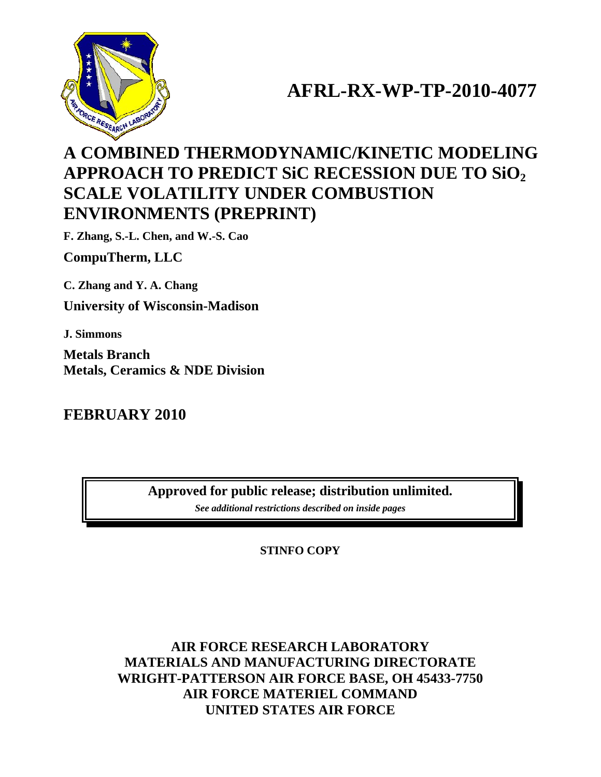

# **AFRL-RX-WP-TP-2010-4077**

## **A COMBINED THERMODYNAMIC/KINETIC MODELING APPROACH TO PREDICT SiC RECESSION DUE TO SiO2 SCALE VOLATILITY UNDER COMBUSTION ENVIRONMENTS (PREPRINT)**

**F. Zhang, S.-L. Chen, and W.-S. Cao** 

**CompuTherm, LLC** 

**C. Zhang and Y. A. Chang University of Wisconsin-Madison** 

**J. Simmons** 

**Metals Branch Metals, Ceramics & NDE Division** 

**FEBRUARY 2010** 

**Approved for public release; distribution unlimited.** 

*See additional restrictions described on inside pages*

**STINFO COPY** 

**AIR FORCE RESEARCH LABORATORY MATERIALS AND MANUFACTURING DIRECTORATE WRIGHT-PATTERSON AIR FORCE BASE, OH 45433-7750 AIR FORCE MATERIEL COMMAND UNITED STATES AIR FORCE**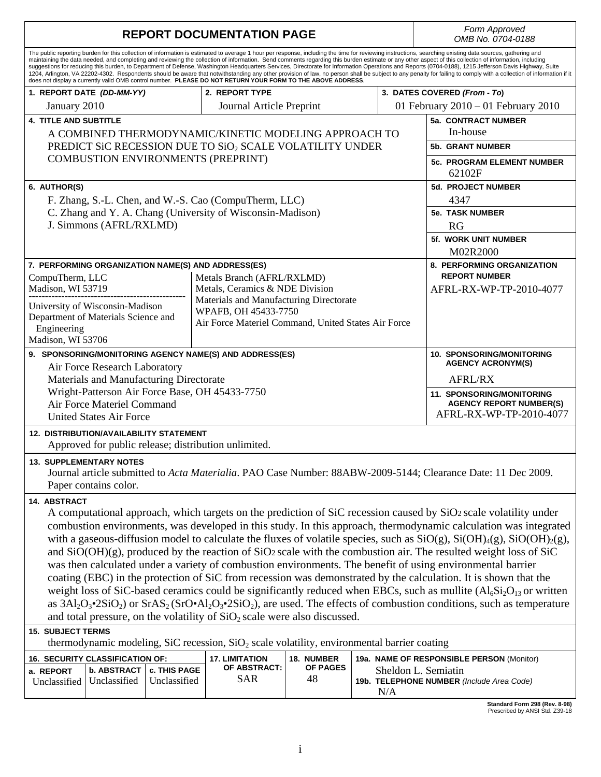| <b>REPORT DOCUMENTATION PAGE</b>                                                                                                                                                                                                                                                                                                                                                                                                                                                                                                                                                                                                                                                                                                                                                                                                                                                                                                                                   | Form Approved<br>OMB No. 0704-0188                                 |          |                      |                                           |  |  |  |  |
|--------------------------------------------------------------------------------------------------------------------------------------------------------------------------------------------------------------------------------------------------------------------------------------------------------------------------------------------------------------------------------------------------------------------------------------------------------------------------------------------------------------------------------------------------------------------------------------------------------------------------------------------------------------------------------------------------------------------------------------------------------------------------------------------------------------------------------------------------------------------------------------------------------------------------------------------------------------------|--------------------------------------------------------------------|----------|----------------------|-------------------------------------------|--|--|--|--|
| The public reporting burden for this collection of information is estimated to average 1 hour per response, including the time for reviewing instructions, searching existing data sources, gathering and<br>maintaining the data needed, and completing and reviewing the collection of information. Send comments regarding this burden estimate or any other aspect of this collection of information, including<br>suggestions for reducing this burden, to Department of Defense, Washington Headquarters Services, Directorate for Information Operations and Reports (0704-0188), 1215 Jefferson Davis Highway, Suite<br>1204, Arlington, VA 22202-4302. Respondents should be aware that notwithstanding any other provision of law, no person shall be subject to any penalty for failing to comply with a collection of information if it<br>does not display a currently valid OMB control number. PLEASE DO NOT RETURN YOUR FORM TO THE ABOVE ADDRESS. |                                                                    |          |                      |                                           |  |  |  |  |
| 1. REPORT DATE (DD-MM-YY)                                                                                                                                                                                                                                                                                                                                                                                                                                                                                                                                                                                                                                                                                                                                                                                                                                                                                                                                          | 2. REPORT TYPE                                                     |          |                      | 3. DATES COVERED (From - To)              |  |  |  |  |
| January 2010                                                                                                                                                                                                                                                                                                                                                                                                                                                                                                                                                                                                                                                                                                                                                                                                                                                                                                                                                       | Journal Article Preprint                                           |          |                      | 01 February 2010 - 01 February 2010       |  |  |  |  |
| <b>4. TITLE AND SUBTITLE</b>                                                                                                                                                                                                                                                                                                                                                                                                                                                                                                                                                                                                                                                                                                                                                                                                                                                                                                                                       |                                                                    |          |                      |                                           |  |  |  |  |
| A COMBINED THERMODYNAMIC/KINETIC MODELING APPROACH TO                                                                                                                                                                                                                                                                                                                                                                                                                                                                                                                                                                                                                                                                                                                                                                                                                                                                                                              | In-house                                                           |          |                      |                                           |  |  |  |  |
| PREDICT SiC RECESSION DUE TO SiO2 SCALE VOLATILITY UNDER                                                                                                                                                                                                                                                                                                                                                                                                                                                                                                                                                                                                                                                                                                                                                                                                                                                                                                           | <b>5b. GRANT NUMBER</b>                                            |          |                      |                                           |  |  |  |  |
| <b>COMBUSTION ENVIRONMENTS (PREPRINT)</b>                                                                                                                                                                                                                                                                                                                                                                                                                                                                                                                                                                                                                                                                                                                                                                                                                                                                                                                          | <b>5c. PROGRAM ELEMENT NUMBER</b><br>62102F                        |          |                      |                                           |  |  |  |  |
| 6. AUTHOR(S)                                                                                                                                                                                                                                                                                                                                                                                                                                                                                                                                                                                                                                                                                                                                                                                                                                                                                                                                                       | <b>5d. PROJECT NUMBER</b>                                          |          |                      |                                           |  |  |  |  |
| F. Zhang, S.-L. Chen, and W.-S. Cao (CompuTherm, LLC)                                                                                                                                                                                                                                                                                                                                                                                                                                                                                                                                                                                                                                                                                                                                                                                                                                                                                                              | 4347                                                               |          |                      |                                           |  |  |  |  |
| C. Zhang and Y. A. Chang (University of Wisconsin-Madison)                                                                                                                                                                                                                                                                                                                                                                                                                                                                                                                                                                                                                                                                                                                                                                                                                                                                                                         | <b>5e. TASK NUMBER</b>                                             |          |                      |                                           |  |  |  |  |
| J. Simmons (AFRL/RXLMD)                                                                                                                                                                                                                                                                                                                                                                                                                                                                                                                                                                                                                                                                                                                                                                                                                                                                                                                                            | RG                                                                 |          |                      |                                           |  |  |  |  |
|                                                                                                                                                                                                                                                                                                                                                                                                                                                                                                                                                                                                                                                                                                                                                                                                                                                                                                                                                                    | 5f. WORK UNIT NUMBER                                               |          |                      |                                           |  |  |  |  |
|                                                                                                                                                                                                                                                                                                                                                                                                                                                                                                                                                                                                                                                                                                                                                                                                                                                                                                                                                                    |                                                                    |          |                      | M02R2000                                  |  |  |  |  |
| 7. PERFORMING ORGANIZATION NAME(S) AND ADDRESS(ES)                                                                                                                                                                                                                                                                                                                                                                                                                                                                                                                                                                                                                                                                                                                                                                                                                                                                                                                 |                                                                    |          |                      | 8. PERFORMING ORGANIZATION                |  |  |  |  |
| CompuTherm, LLC                                                                                                                                                                                                                                                                                                                                                                                                                                                                                                                                                                                                                                                                                                                                                                                                                                                                                                                                                    | Metals Branch (AFRL/RXLMD)                                         |          | <b>REPORT NUMBER</b> |                                           |  |  |  |  |
| Madison, WI 53719                                                                                                                                                                                                                                                                                                                                                                                                                                                                                                                                                                                                                                                                                                                                                                                                                                                                                                                                                  | Metals, Ceramics & NDE Division                                    |          |                      | AFRL-RX-WP-TP-2010-4077                   |  |  |  |  |
| University of Wisconsin-Madison                                                                                                                                                                                                                                                                                                                                                                                                                                                                                                                                                                                                                                                                                                                                                                                                                                                                                                                                    | Materials and Manufacturing Directorate<br>WPAFB, OH 45433-7750    |          |                      |                                           |  |  |  |  |
| Department of Materials Science and                                                                                                                                                                                                                                                                                                                                                                                                                                                                                                                                                                                                                                                                                                                                                                                                                                                                                                                                | Air Force Materiel Command, United States Air Force                |          |                      |                                           |  |  |  |  |
| Engineering                                                                                                                                                                                                                                                                                                                                                                                                                                                                                                                                                                                                                                                                                                                                                                                                                                                                                                                                                        |                                                                    |          |                      |                                           |  |  |  |  |
|                                                                                                                                                                                                                                                                                                                                                                                                                                                                                                                                                                                                                                                                                                                                                                                                                                                                                                                                                                    | Madison, WI 53706                                                  |          |                      |                                           |  |  |  |  |
| 9. SPONSORING/MONITORING AGENCY NAME(S) AND ADDRESS(ES)                                                                                                                                                                                                                                                                                                                                                                                                                                                                                                                                                                                                                                                                                                                                                                                                                                                                                                            | 10. SPONSORING/MONITORING<br><b>AGENCY ACRONYM(S)</b>              |          |                      |                                           |  |  |  |  |
| Air Force Research Laboratory<br>Materials and Manufacturing Directorate                                                                                                                                                                                                                                                                                                                                                                                                                                                                                                                                                                                                                                                                                                                                                                                                                                                                                           |                                                                    |          |                      | <b>AFRL/RX</b>                            |  |  |  |  |
| Wright-Patterson Air Force Base, OH 45433-7750                                                                                                                                                                                                                                                                                                                                                                                                                                                                                                                                                                                                                                                                                                                                                                                                                                                                                                                     |                                                                    |          |                      |                                           |  |  |  |  |
| Air Force Materiel Command                                                                                                                                                                                                                                                                                                                                                                                                                                                                                                                                                                                                                                                                                                                                                                                                                                                                                                                                         | <b>11. SPONSORING/MONITORING</b><br><b>AGENCY REPORT NUMBER(S)</b> |          |                      |                                           |  |  |  |  |
| <b>United States Air Force</b>                                                                                                                                                                                                                                                                                                                                                                                                                                                                                                                                                                                                                                                                                                                                                                                                                                                                                                                                     |                                                                    |          |                      | AFRL-RX-WP-TP-2010-4077                   |  |  |  |  |
| <b>12. DISTRIBUTION/AVAILABILITY STATEMENT</b>                                                                                                                                                                                                                                                                                                                                                                                                                                                                                                                                                                                                                                                                                                                                                                                                                                                                                                                     |                                                                    |          |                      |                                           |  |  |  |  |
| Approved for public release; distribution unlimited.                                                                                                                                                                                                                                                                                                                                                                                                                                                                                                                                                                                                                                                                                                                                                                                                                                                                                                               |                                                                    |          |                      |                                           |  |  |  |  |
| <b>13. SUPPLEMENTARY NOTES</b>                                                                                                                                                                                                                                                                                                                                                                                                                                                                                                                                                                                                                                                                                                                                                                                                                                                                                                                                     |                                                                    |          |                      |                                           |  |  |  |  |
|                                                                                                                                                                                                                                                                                                                                                                                                                                                                                                                                                                                                                                                                                                                                                                                                                                                                                                                                                                    |                                                                    |          |                      |                                           |  |  |  |  |
| Journal article submitted to Acta Materialia. PAO Case Number: 88ABW-2009-5144; Clearance Date: 11 Dec 2009.<br>Paper contains color.                                                                                                                                                                                                                                                                                                                                                                                                                                                                                                                                                                                                                                                                                                                                                                                                                              |                                                                    |          |                      |                                           |  |  |  |  |
|                                                                                                                                                                                                                                                                                                                                                                                                                                                                                                                                                                                                                                                                                                                                                                                                                                                                                                                                                                    |                                                                    |          |                      |                                           |  |  |  |  |
| 14. ABSTRACT                                                                                                                                                                                                                                                                                                                                                                                                                                                                                                                                                                                                                                                                                                                                                                                                                                                                                                                                                       |                                                                    |          |                      |                                           |  |  |  |  |
| A computational approach, which targets on the prediction of SiC recession caused by SiO2 scale volatility under<br>combustion environments, was developed in this study. In this approach, thermodynamic calculation was integrated                                                                                                                                                                                                                                                                                                                                                                                                                                                                                                                                                                                                                                                                                                                               |                                                                    |          |                      |                                           |  |  |  |  |
| with a gaseous-diffusion model to calculate the fluxes of volatile species, such as $SiO(g)$ , $SiOH2(g)$ , $SiO(OH)2(g)$ ,                                                                                                                                                                                                                                                                                                                                                                                                                                                                                                                                                                                                                                                                                                                                                                                                                                        |                                                                    |          |                      |                                           |  |  |  |  |
| and SiO(OH)(g), produced by the reaction of SiO <sub>2</sub> scale with the combustion air. The resulted weight loss of SiC                                                                                                                                                                                                                                                                                                                                                                                                                                                                                                                                                                                                                                                                                                                                                                                                                                        |                                                                    |          |                      |                                           |  |  |  |  |
| was then calculated under a variety of combustion environments. The benefit of using environmental barrier                                                                                                                                                                                                                                                                                                                                                                                                                                                                                                                                                                                                                                                                                                                                                                                                                                                         |                                                                    |          |                      |                                           |  |  |  |  |
| coating (EBC) in the protection of SiC from recession was demonstrated by the calculation. It is shown that the                                                                                                                                                                                                                                                                                                                                                                                                                                                                                                                                                                                                                                                                                                                                                                                                                                                    |                                                                    |          |                      |                                           |  |  |  |  |
| weight loss of SiC-based ceramics could be significantly reduced when EBCs, such as mullite $(Al_6Si_2O_{13}$ or written                                                                                                                                                                                                                                                                                                                                                                                                                                                                                                                                                                                                                                                                                                                                                                                                                                           |                                                                    |          |                      |                                           |  |  |  |  |
| as $3Al_2O_3 \cdot 2SiO_2$ or $SrAS_2(SrO \cdot Al_2O_3 \cdot 2SiO_2)$ , are used. The effects of combustion conditions, such as temperature                                                                                                                                                                                                                                                                                                                                                                                                                                                                                                                                                                                                                                                                                                                                                                                                                       |                                                                    |          |                      |                                           |  |  |  |  |
| and total pressure, on the volatility of $SiO2$ scale were also discussed.                                                                                                                                                                                                                                                                                                                                                                                                                                                                                                                                                                                                                                                                                                                                                                                                                                                                                         |                                                                    |          |                      |                                           |  |  |  |  |
| <b>15. SUBJECT TERMS</b>                                                                                                                                                                                                                                                                                                                                                                                                                                                                                                                                                                                                                                                                                                                                                                                                                                                                                                                                           |                                                                    |          |                      |                                           |  |  |  |  |
| thermodynamic modeling, SiC recession, $SiO2$ scale volatility, environmental barrier coating                                                                                                                                                                                                                                                                                                                                                                                                                                                                                                                                                                                                                                                                                                                                                                                                                                                                      |                                                                    |          |                      |                                           |  |  |  |  |
| 16. SECURITY CLASSIFICATION OF:<br>19a. NAME OF RESPONSIBLE PERSON (Monitor)<br><b>17. LIMITATION</b><br>18. NUMBER                                                                                                                                                                                                                                                                                                                                                                                                                                                                                                                                                                                                                                                                                                                                                                                                                                                |                                                                    |          |                      |                                           |  |  |  |  |
| c. THIS PAGE<br>b. ABSTRACT<br>a. REPORT                                                                                                                                                                                                                                                                                                                                                                                                                                                                                                                                                                                                                                                                                                                                                                                                                                                                                                                           | OF ABSTRACT:                                                       | OF PAGES |                      | Sheldon L. Semiatin                       |  |  |  |  |
| Unclassified Unclassified<br>Unclassified                                                                                                                                                                                                                                                                                                                                                                                                                                                                                                                                                                                                                                                                                                                                                                                                                                                                                                                          | <b>SAR</b>                                                         | 48       |                      | 19b. TELEPHONE NUMBER (Include Area Code) |  |  |  |  |

**Standard Form 298 (Rev. 8-98)**  Prescribed by ANSI Std. Z39-18

N/A

Unclassified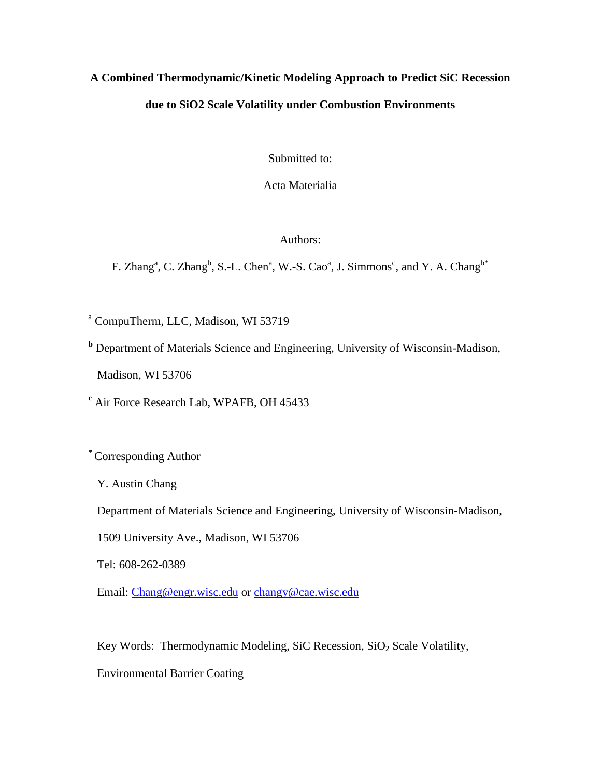## **A Combined Thermodynamic/Kinetic Modeling Approach to Predict SiC Recession due to SiO2 Scale Volatility under Combustion Environments**

Submitted to:

Acta Materialia

### Authors:

F. Zhang<sup>a</sup>, C. Zhang<sup>b</sup>, S.-L. Chen<sup>a</sup>, W.-S. Cao<sup>a</sup>, J. Simmons<sup>c</sup>, and Y. A. Chang<sup>b\*</sup>

<sup>a</sup> CompuTherm, LLC, Madison, WI 53719

**<sup>b</sup>** Department of Materials Science and Engineering, University of Wisconsin-Madison,

Madison, WI 53706

**<sup>c</sup>** Air Force Research Lab, WPAFB, OH 45433

**\*** Corresponding Author

Y. Austin Chang

Department of Materials Science and Engineering, University of Wisconsin-Madison,

1509 University Ave., Madison, WI 53706

Tel: 608-262-0389

Email: [Chang@engr.wisc.edu](mailto:Chang@engr.wisc.edu) or [changy@cae.wisc.edu](mailto:changy@cae.wisc.edu)

Key Words: Thermodynamic Modeling, SiC Recession,  $SiO<sub>2</sub>$  Scale Volatility,

Environmental Barrier Coating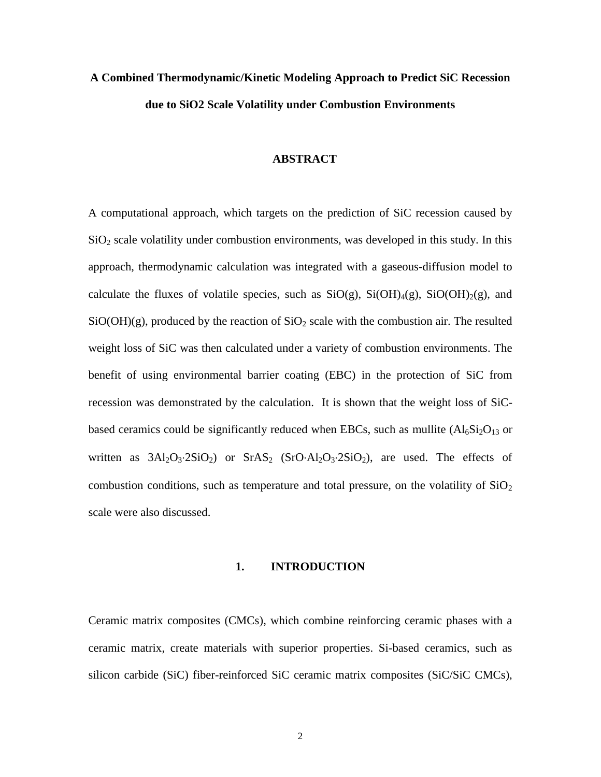## **A Combined Thermodynamic/Kinetic Modeling Approach to Predict SiC Recession due to SiO2 Scale Volatility under Combustion Environments**

### **ABSTRACT**

A computational approach, which targets on the prediction of SiC recession caused by  $SiO<sub>2</sub>$  scale volatility under combustion environments, was developed in this study. In this approach, thermodynamic calculation was integrated with a gaseous-diffusion model to calculate the fluxes of volatile species, such as  $SiO(g)$ ,  $SiOH<sub>4</sub>(g)$ ,  $SiO(OH)<sub>2</sub>(g)$ , and  $SiO(OH)(g)$ , produced by the reaction of  $SiO<sub>2</sub>$  scale with the combustion air. The resulted weight loss of SiC was then calculated under a variety of combustion environments. The benefit of using environmental barrier coating (EBC) in the protection of SiC from recession was demonstrated by the calculation. It is shown that the weight loss of SiCbased ceramics could be significantly reduced when EBCs, such as mullite  $(Al<sub>6</sub>Si<sub>2</sub>O<sub>13</sub>$  or written as  $3Al_2O_3.2SiO_2$  or  $SrAS_2$  (SrO $\cdot$ Al<sub>2</sub>O<sub>3</sub> $\cdot$ 2SiO<sub>2</sub>), are used. The effects of combustion conditions, such as temperature and total pressure, on the volatility of  $SiO<sub>2</sub>$ scale were also discussed.

#### **1. INTRODUCTION**

Ceramic matrix composites (CMCs), which combine reinforcing ceramic phases with a ceramic matrix, create materials with superior properties. Si-based ceramics, such as silicon carbide (SiC) fiber-reinforced SiC ceramic matrix composites (SiC/SiC CMCs),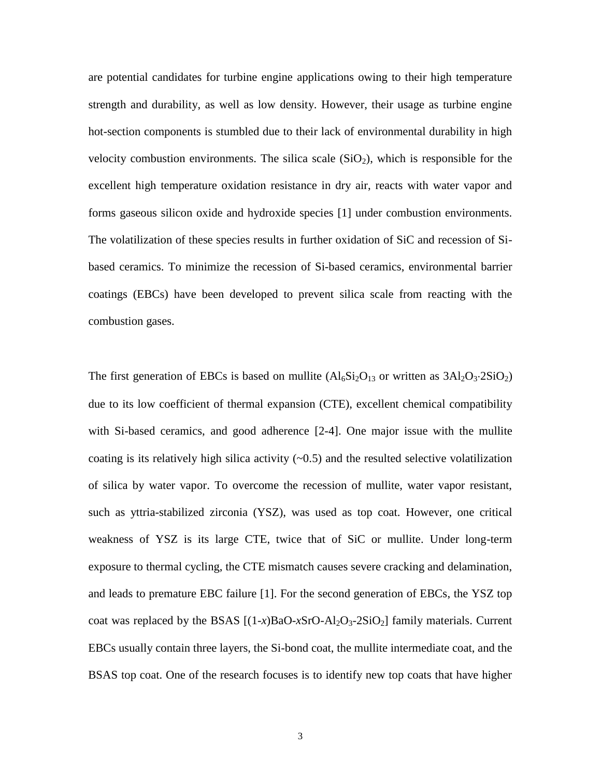are potential candidates for turbine engine applications owing to their high temperature strength and durability, as well as low density. However, their usage as turbine engine hot-section components is stumbled due to their lack of environmental durability in high velocity combustion environments. The silica scale  $(SiO<sub>2</sub>)$ , which is responsible for the excellent high temperature oxidation resistance in dry air, reacts with water vapor and forms gaseous silicon oxide and hydroxide species [1] under combustion environments. The volatilization of these species results in further oxidation of SiC and recession of Sibased ceramics. To minimize the recession of Si-based ceramics, environmental barrier coatings (EBCs) have been developed to prevent silica scale from reacting with the combustion gases.

The first generation of EBCs is based on mullite  $(Al_6Si_2O_{13}$  or written as  $3Al_2O_3.2SiO_2$ ) due to its low coefficient of thermal expansion (CTE), excellent chemical compatibility with Si-based ceramics, and good adherence [2-4]. One major issue with the mullite coating is its relatively high silica activity  $(\sim 0.5)$  and the resulted selective volatilization of silica by water vapor. To overcome the recession of mullite, water vapor resistant, such as yttria-stabilized zirconia (YSZ), was used as top coat. However, one critical weakness of YSZ is its large CTE, twice that of SiC or mullite. Under long-term exposure to thermal cycling, the CTE mismatch causes severe cracking and delamination, and leads to premature EBC failure [1]. For the second generation of EBCs, the YSZ top coat was replaced by the BSAS  $[(1-x)BaO-xSrO-Al<sub>2</sub>O<sub>3</sub>-2SiO<sub>2</sub>]$  family materials. Current EBCs usually contain three layers, the Si-bond coat, the mullite intermediate coat, and the BSAS top coat. One of the research focuses is to identify new top coats that have higher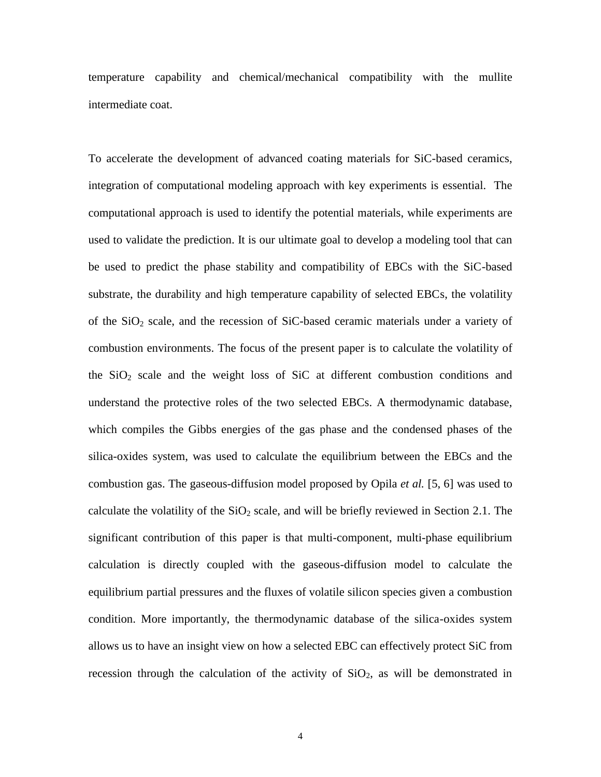temperature capability and chemical/mechanical compatibility with the mullite intermediate coat.

To accelerate the development of advanced coating materials for SiC-based ceramics, integration of computational modeling approach with key experiments is essential. The computational approach is used to identify the potential materials, while experiments are used to validate the prediction. It is our ultimate goal to develop a modeling tool that can be used to predict the phase stability and compatibility of EBCs with the SiC-based substrate, the durability and high temperature capability of selected EBCs, the volatility of the  $SiO<sub>2</sub>$  scale, and the recession of SiC-based ceramic materials under a variety of combustion environments. The focus of the present paper is to calculate the volatility of the  $SiO<sub>2</sub>$  scale and the weight loss of SiC at different combustion conditions and understand the protective roles of the two selected EBCs. A thermodynamic database, which compiles the Gibbs energies of the gas phase and the condensed phases of the silica-oxides system, was used to calculate the equilibrium between the EBCs and the combustion gas. The gaseous-diffusion model proposed by Opila *et al.* [5, 6] was used to calculate the volatility of the  $SiO<sub>2</sub>$  scale, and will be briefly reviewed in Section 2.1. The significant contribution of this paper is that multi-component, multi-phase equilibrium calculation is directly coupled with the gaseous-diffusion model to calculate the equilibrium partial pressures and the fluxes of volatile silicon species given a combustion condition. More importantly, the thermodynamic database of the silica-oxides system allows us to have an insight view on how a selected EBC can effectively protect SiC from recession through the calculation of the activity of  $SiO<sub>2</sub>$ , as will be demonstrated in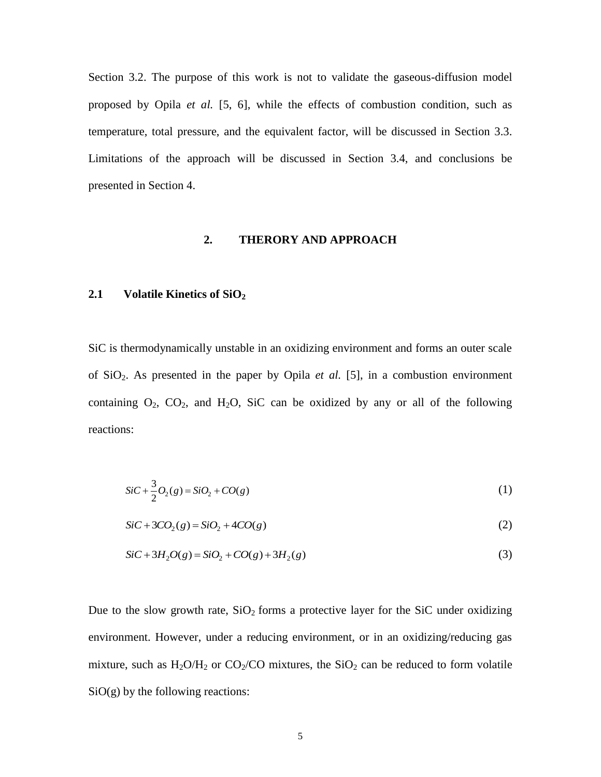Section 3.2. The purpose of this work is not to validate the gaseous-diffusion model proposed by Opila *et al.* [5, 6], while the effects of combustion condition, such as temperature, total pressure, and the equivalent factor, will be discussed in Section 3.3. Limitations of the approach will be discussed in Section 3.4, and conclusions be presented in Section 4.

#### **2. THERORY AND APPROACH**

### **2.1 Volatile Kinetics of SiO<sup>2</sup>**

SiC is thermodynamically unstable in an oxidizing environment and forms an outer scale of SiO2. As presented in the paper by Opila *et al.* [5], in a combustion environment containing  $O_2$ ,  $CO_2$ , and  $H_2O$ , SiC can be oxidized by any or all of the following reactions:

$$
SiC + \frac{3}{2}O_2(g) = SiO_2 + CO(g)
$$
 (1)

$$
SiC + 3CO2(g) = SiO2 + 4CO(g)
$$
\n
$$
(2)
$$

$$
SiC + 3H_2O(g) = SiO_2 + CO(g) + 3H_2(g)
$$
\n(3)

Due to the slow growth rate,  $SiO<sub>2</sub>$  forms a protective layer for the SiC under oxidizing environment. However, under a reducing environment, or in an oxidizing/reducing gas mixture, such as  $H_2O/H_2$  or  $CO_2/CO$  mixtures, the  $SiO_2$  can be reduced to form volatile  $SiO(g)$  by the following reactions: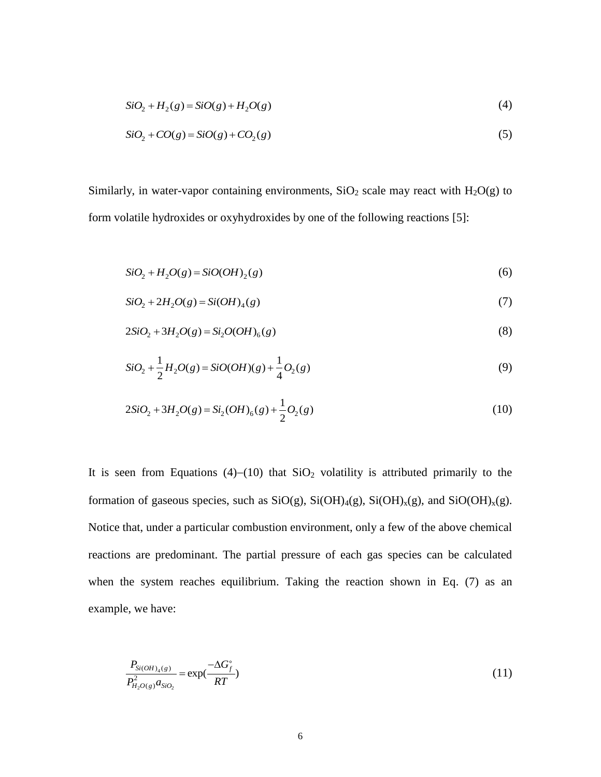$$
SiO2 + H2(g) = SiO(g) + H2O(g)
$$
\n
$$
\tag{4}
$$

$$
SiO2 + CO(g) = SiO(g) + CO2(g)
$$
\n(5)

Similarly, in water-vapor containing environments,  $SiO<sub>2</sub>$  scale may react with  $H<sub>2</sub>O(g)$  to form volatile hydroxides or oxyhydroxides by one of the following reactions [5]:

$$
SiO2 + H2O(g) = SiO(OH)2(g)
$$
\n
$$
(6)
$$

$$
SiO_2 + 2H_2O(g) = Si(OH)_4(g)
$$
 (7)

$$
2SiO_2 + 3H_2O(g) = Si_2O(OH)_6(g)
$$
\n(8)

$$
SiO_2 + \frac{1}{2}H_2O(g) = SiO(OH)(g) + \frac{1}{4}O_2(g)
$$
\n(9)

$$
2SiO_2 + 3H_2O(g) = Si_2(OH)_6(g) + \frac{1}{2}O_2(g)
$$
\n(10)

It is seen from Equations (4)–(10) that  $SiO<sub>2</sub>$  volatility is attributed primarily to the formation of gaseous species, such as  $SiO(g)$ ,  $Si(OH)_4(g)$ ,  $Si(OH)_x(g)$ , and  $SiO(OH)_x(g)$ . Notice that, under a particular combustion environment, only a few of the above chemical reactions are predominant. The partial pressure of each gas species can be calculated when the system reaches equilibrium. Taking the reaction shown in Eq. (7) as an example, we have:

$$
\frac{P_{Si(OH)_4(g)}}{P_{H_2O(g)}^2 a_{SiO_2}} = \exp(\frac{-\Delta G_f^{\circ}}{RT})
$$
\n(11)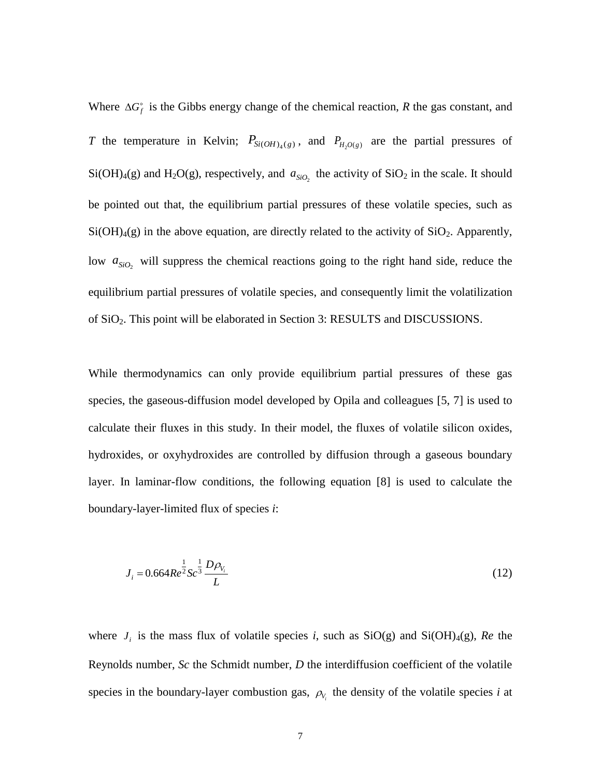Where  $\Delta G_f^{\circ}$  is the Gibbs energy change of the chemical reaction, *R* the gas constant, and *T* the temperature in Kelvin;  $P_{Si(OH)_4(g)}$ , and  $P_{H_2O(g)}$  are the partial pressures of  $Si(OH)_4(g)$  and  $H_2O(g)$ , respectively, and  $a_{SiO_2}$  the activity of  $SiO_2$  in the scale. It should be pointed out that, the equilibrium partial pressures of these volatile species, such as  $Si(OH)_4(g)$  in the above equation, are directly related to the activity of  $SiO_2$ . Apparently, low  $a_{SiO_2}$  will suppress the chemical reactions going to the right hand side, reduce the equilibrium partial pressures of volatile species, and consequently limit the volatilization of SiO2. This point will be elaborated in Section 3: RESULTS and DISCUSSIONS.

While thermodynamics can only provide equilibrium partial pressures of these gas species, the gaseous-diffusion model developed by Opila and colleagues [5, 7] is used to calculate their fluxes in this study. In their model, the fluxes of volatile silicon oxides, hydroxides, or oxyhydroxides are controlled by diffusion through a gaseous boundary layer. In laminar-flow conditions, the following equation [8] is used to calculate the boundary-layer-limited flux of species *i*:

$$
J_i = 0.664 Re^{\frac{1}{2}} Sc^{\frac{1}{3}} \frac{D\rho_{V_i}}{L}
$$
 (12)

where  $J_i$  is the mass flux of volatile species *i*, such as  $SiO(g)$  and  $Si(OH)_4(g)$ , *Re* the Reynolds number, *Sc* the Schmidt number, *D* the interdiffusion coefficient of the volatile species in the boundary-layer combustion gas,  $\rho_{V_i}$  the density of the volatile species *i* at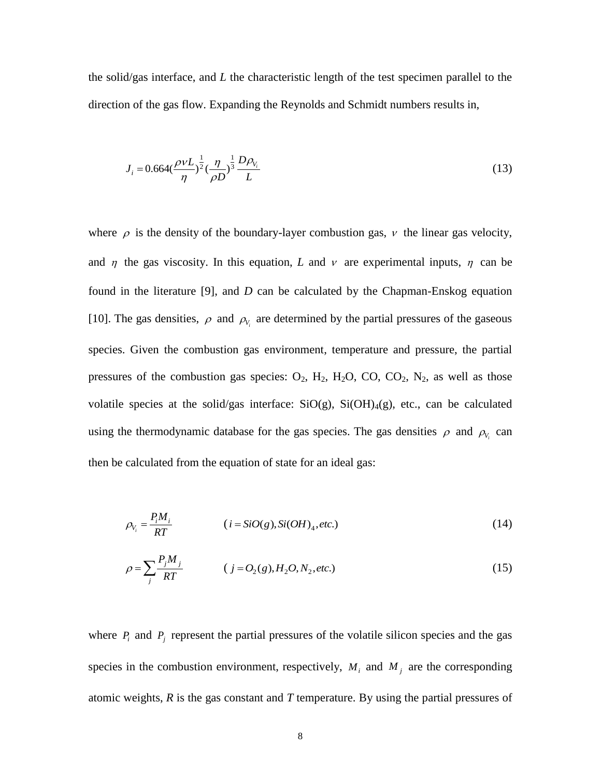the solid/gas interface, and *L* the characteristic length of the test specimen parallel to the direction of the gas flow. Expanding the Reynolds and Schmidt numbers results in,

$$
J_i = 0.664 \left(\frac{\rho v L}{\eta}\right)^{\frac{1}{2}} \left(\frac{\eta}{\rho D}\right)^{\frac{1}{3}} \frac{D \rho_{V_i}}{L}
$$
\n(13)

where  $\rho$  is the density of the boundary-layer combustion gas,  $\nu$  the linear gas velocity, and  $\eta$  the gas viscosity. In this equation, *L* and  $\nu$  are experimental inputs,  $\eta$  can be found in the literature [9], and *D* can be calculated by the Chapman-Enskog equation [10]. The gas densities,  $\rho$  and  $\rho_{V_i}$  are determined by the partial pressures of the gaseous species. Given the combustion gas environment, temperature and pressure, the partial pressures of the combustion gas species:  $O_2$ ,  $H_2$ ,  $H_2O$ ,  $CO$ ,  $CO_2$ ,  $N_2$ , as well as those volatile species at the solid/gas interface:  $SiO(g)$ ,  $Si(OH)_4(g)$ , etc., can be calculated using the thermodynamic database for the gas species. The gas densities  $\rho$  and  $\rho_{V_i}$  can then be calculated from the equation of state for an ideal gas:

$$
\rho_{V_i} = \frac{P_i M_i}{RT}
$$
  $(i = SiO(g), Si(OH)_4, etc.)$  (14)

$$
\rho = \sum_{j} \frac{P_j M_j}{RT} \qquad (j = O_2(g), H_2O, N_2, etc.)
$$
\n(15)

where  $P_i$  and  $P_j$  represent the partial pressures of the volatile silicon species and the gas species in the combustion environment, respectively,  $M_i$  and  $M_j$  are the corresponding atomic weights, *R* is the gas constant and *T* temperature. By using the partial pressures of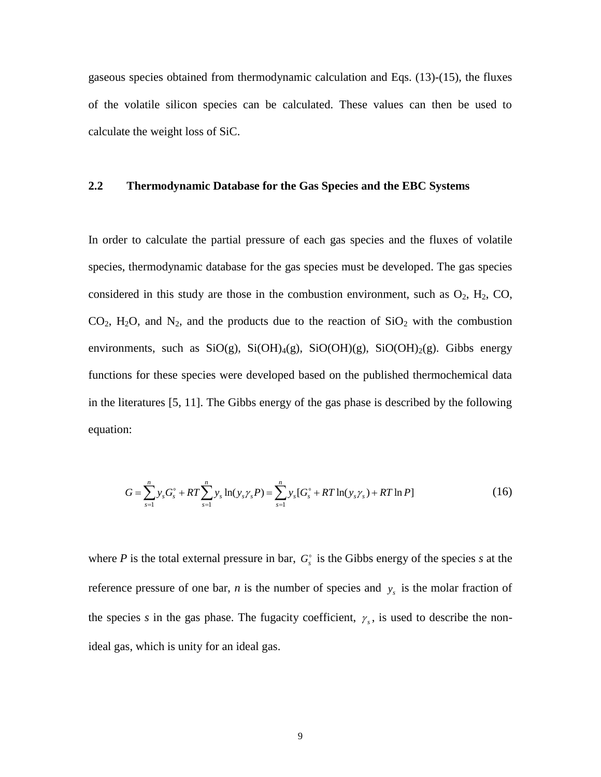gaseous species obtained from thermodynamic calculation and Eqs. (13)-(15), the fluxes of the volatile silicon species can be calculated. These values can then be used to calculate the weight loss of SiC.

### **2.2 Thermodynamic Database for the Gas Species and the EBC Systems**

In order to calculate the partial pressure of each gas species and the fluxes of volatile species, thermodynamic database for the gas species must be developed. The gas species considered in this study are those in the combustion environment, such as  $O_2$ ,  $H_2$ ,  $CO$ ,  $CO<sub>2</sub>$ , H<sub>2</sub>O, and N<sub>2</sub>, and the products due to the reaction of  $SiO<sub>2</sub>$  with the combustion environments, such as  $SiO(g)$ ,  $Si(OH)_4(g)$ ,  $SiO(OH)(g)$ ,  $SiO(OH)_2(g)$ . Gibbs energy functions for these species were developed based on the published thermochemical data in the literatures [5, 11]. The Gibbs energy of the gas phase is described by the following equation:

$$
G = \sum_{s=1}^{n} y_s G_s^{\circ} + RT \sum_{s=1}^{n} y_s \ln(y_s \gamma_s P) = \sum_{s=1}^{n} y_s [G_s^{\circ} + RT \ln(y_s \gamma_s) + RT \ln P]
$$
(16)

where  $P$  is the total external pressure in bar,  $G_s^{\circ}$  is the Gibbs energy of the species  $s$  at the reference pressure of one bar, *n* is the number of species and  $y<sub>s</sub>$  is the molar fraction of the species *s* in the gas phase. The fugacity coefficient,  $\gamma_s$ , is used to describe the nonideal gas, which is unity for an ideal gas.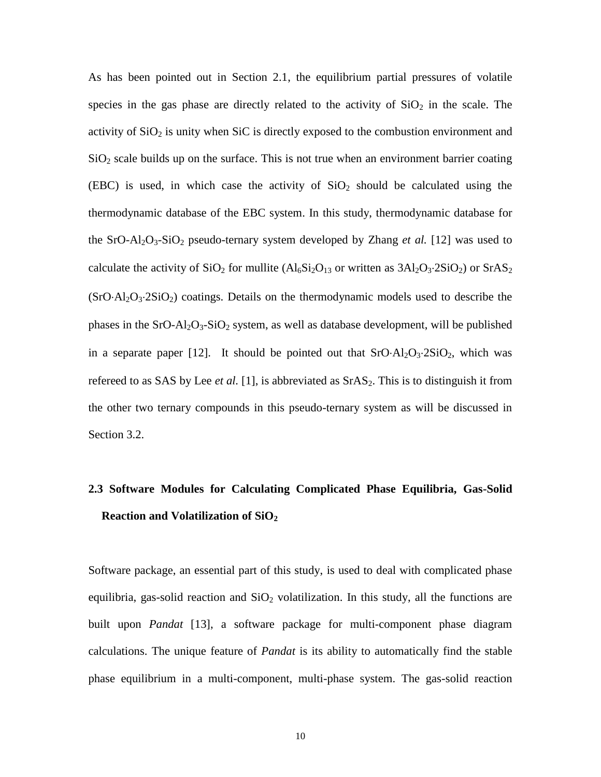As has been pointed out in Section 2.1, the equilibrium partial pressures of volatile species in the gas phase are directly related to the activity of  $SiO<sub>2</sub>$  in the scale. The activity of  $SiO<sub>2</sub>$  is unity when  $SiC$  is directly exposed to the combustion environment and  $SiO<sub>2</sub>$  scale builds up on the surface. This is not true when an environment barrier coating (EBC) is used, in which case the activity of  $SiO<sub>2</sub>$  should be calculated using the thermodynamic database of the EBC system. In this study, thermodynamic database for the SrO-Al<sub>2</sub>O<sub>3</sub>-SiO<sub>2</sub> pseudo-ternary system developed by Zhang *et al.* [12] was used to calculate the activity of  $SiO_2$  for mullite  $(Al_6Si_2O_{13}$  or written as  $3Al_2O_3.2SiO_2$ ) or  $SrAS_2$  $(SrO·Al<sub>2</sub>O<sub>3</sub>·2SiO<sub>2</sub>)$  coatings. Details on the thermodynamic models used to describe the phases in the SrO-Al<sub>2</sub>O<sub>3</sub>-SiO<sub>2</sub> system, as well as database development, will be published in a separate paper [12]. It should be pointed out that  $SrO·Al<sub>2</sub>O<sub>3</sub>·2SiO<sub>2</sub>$ , which was refereed to as SAS by Lee *et al.* [1], is abbreviated as SrAS<sub>2</sub>. This is to distinguish it from the other two ternary compounds in this pseudo-ternary system as will be discussed in Section 3.2.

### **2.3 Software Modules for Calculating Complicated Phase Equilibria, Gas-Solid Reaction and Volatilization of SiO<sup>2</sup>**

Software package, an essential part of this study, is used to deal with complicated phase equilibria, gas-solid reaction and  $SiO<sub>2</sub>$  volatilization. In this study, all the functions are built upon *Pandat* [13], a software package for multi-component phase diagram calculations. The unique feature of *Pandat* is its ability to automatically find the stable phase equilibrium in a multi-component, multi-phase system. The gas-solid reaction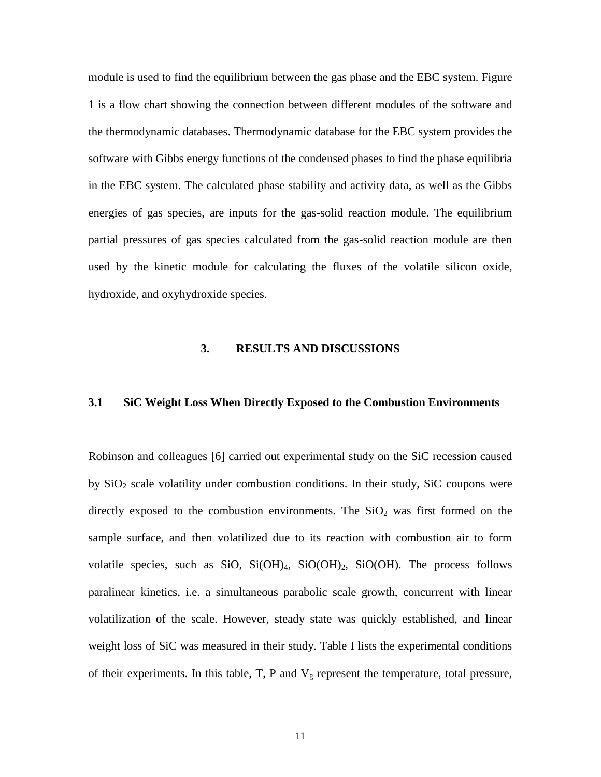module is used to find the equilibrium between the gas phase and the EBC system. [Figure](#page-26-0)  [1](#page-26-0) is a flow chart showing the connection between different modules of the software and the thermodynamic databases. Thermodynamic database for the EBC system provides the software with Gibbs energy functions of the condensed phases to find the phase equilibria in the EBC system. The calculated phase stability and activity data, as well as the Gibbs energies of gas species, are inputs for the gas-solid reaction module. The equilibrium partial pressures of gas species calculated from the gas-solid reaction module are then used by the kinetic module for calculating the fluxes of the volatile silicon oxide, hydroxide, and oxyhydroxide species.

### **3. RESULTS AND DISCUSSIONS**

### **3.1 SiC Weight Loss When Directly Exposed to the Combustion Environments**

Robinson and colleagues [6] carried out experimental study on the SiC recession caused by  $SiO<sub>2</sub>$  scale volatility under combustion conditions. In their study, SiC coupons were directly exposed to the combustion environments. The  $SiO<sub>2</sub>$  was first formed on the sample surface, and then volatilized due to its reaction with combustion air to form volatile species, such as SiO,  $Si(OH)_4$ ,  $SiO(OH)_2$ ,  $SiO(OH)$ . The process follows paralinear kinetics, i.e. a simultaneous parabolic scale growth, concurrent with linear volatilization of the scale. However, steady state was quickly established, and linear weight loss of SiC was measured in their study. Table I lists the experimental conditions of their experiments. In this table, T, P and  $V<sub>g</sub>$  represent the temperature, total pressure,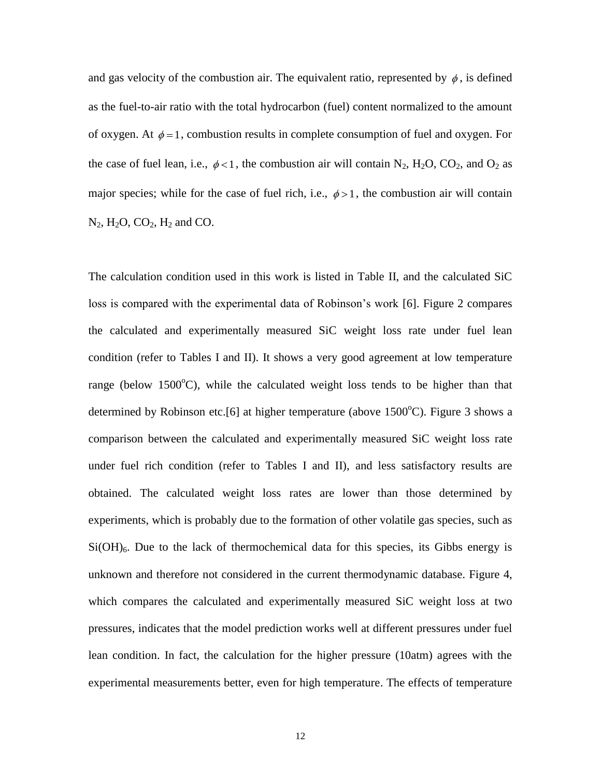and gas velocity of the combustion air. The equivalent ratio, represented by  $\phi$ , is defined as the fuel-to-air ratio with the total hydrocarbon (fuel) content normalized to the amount of oxygen. At  $\phi = 1$ , combustion results in complete consumption of fuel and oxygen. For the case of fuel lean, i.e.,  $\phi < 1$ , the combustion air will contain N<sub>2</sub>, H<sub>2</sub>O, CO<sub>2</sub>, and O<sub>2</sub> as major species; while for the case of fuel rich, i.e.,  $\phi > 1$ , the combustion air will contain  $N_2$ ,  $H_2O$ ,  $CO_2$ ,  $H_2$  and CO.

The calculation condition used in this work is listed in Table II, and the calculated SiC loss is compared with the experimental data of Robinson's work [6]. [Figure 2](#page-27-0) compares the calculated and experimentally measured SiC weight loss rate under fuel lean condition (refer to Tables I and II). It shows a very good agreement at low temperature range (below  $1500^{\circ}$ C), while the calculated weight loss tends to be higher than that determined by Robinson etc. [6] at higher temperature (above 1500 $^{\circ}$ C). [Figure 3](#page-28-0) shows a comparison between the calculated and experimentally measured SiC weight loss rate under fuel rich condition (refer to Tables I and II), and less satisfactory results are obtained. The calculated weight loss rates are lower than those determined by experiments, which is probably due to the formation of other volatile gas species, such as  $Si(OH)<sub>6</sub>$ . Due to the lack of thermochemical data for this species, its Gibbs energy is unknown and therefore not considered in the current thermodynamic database. [Figure 4,](#page-29-0) which compares the calculated and experimentally measured SiC weight loss at two pressures, indicates that the model prediction works well at different pressures under fuel lean condition. In fact, the calculation for the higher pressure (10atm) agrees with the experimental measurements better, even for high temperature. The effects of temperature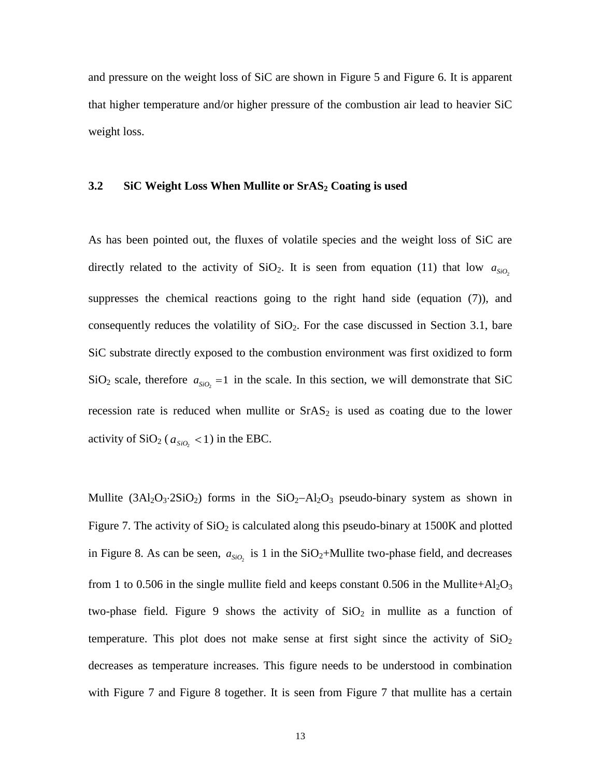and pressure on the weight loss of SiC are shown in [Figure 5](#page-30-0) and [Figure 6.](#page-31-0) It is apparent that higher temperature and/or higher pressure of the combustion air lead to heavier SiC weight loss.

### **3.2 SiC Weight Loss When Mullite or SrAS<sup>2</sup> Coating is used**

As has been pointed out, the fluxes of volatile species and the weight loss of SiC are directly related to the activity of  $SiO_2$ . It is seen from equation (11) that low  $a_{SiO_2}$ suppresses the chemical reactions going to the right hand side (equation (7)), and consequently reduces the volatility of  $SiO<sub>2</sub>$ . For the case discussed in Section 3.1, bare SiC substrate directly exposed to the combustion environment was first oxidized to form SiO<sub>2</sub> scale, therefore  $a_{SiO_2} = 1$  in the scale. In this section, we will demonstrate that SiC recession rate is reduced when mullite or  $SrAS<sub>2</sub>$  is used as coating due to the lower activity of  $\text{SiO}_2$  ( $a_{\text{SiO}_2}$  < 1) in the EBC.

Mullite  $(3Al_2O_3.2SiO_2)$  forms in the  $SiO_2-Al_2O_3$  pseudo-binary system as shown in [Figure 7.](#page-32-0) The activity of  $SiO<sub>2</sub>$  is calculated along this pseudo-binary at 1500K and plotted in [Figure 8.](#page-33-0) As can be seen,  $a_{SiO_2}$  is 1 in the  $SiO_2+$ Mullite two-phase field, and decreases from 1 to 0.506 in the single mullite field and keeps constant 0.506 in the Mullite+Al<sub>2</sub>O<sub>3</sub> two-phase field. [Figure 9](#page-34-0) shows the activity of  $SiO<sub>2</sub>$  in mullite as a function of temperature. This plot does not make sense at first sight since the activity of  $SiO<sub>2</sub>$ decreases as temperature increases. This figure needs to be understood in combination with [Figure 7](#page-32-0) and [Figure 8](#page-33-0) together. It is seen from Figure 7 that mullite has a certain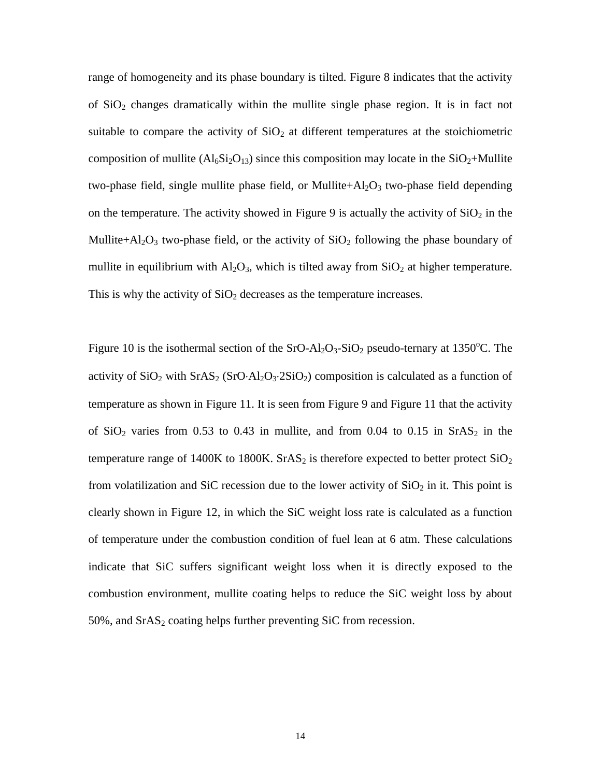range of homogeneity and its phase boundary is tilted. [Figure 8](#page-33-0) indicates that the activity of  $SiO<sub>2</sub>$  changes dramatically within the mullite single phase region. It is in fact not suitable to compare the activity of  $SiO<sub>2</sub>$  at different temperatures at the stoichiometric composition of mullite  $(Al<sub>6</sub>Si<sub>2</sub>O<sub>13</sub>)$  since this composition may locate in the SiO<sub>2</sub>+Mullite two-phase field, single mullite phase field, or Mullite+ $Al_2O_3$  two-phase field depending on the temperature. The activity showed in [Figure 9](#page-34-0) is actually the activity of  $SiO<sub>2</sub>$  in the Mullite+Al<sub>2</sub>O<sub>3</sub> two-phase field, or the activity of  $SiO<sub>2</sub>$  following the phase boundary of mullite in equilibrium with  $Al_2O_3$ , which is tilted away from  $SiO_2$  at higher temperature. This is why the activity of  $SiO<sub>2</sub>$  decreases as the temperature increases.

[Figure 10](#page-35-0) is the isothermal section of the SrO-Al<sub>2</sub>O<sub>3</sub>-SiO<sub>2</sub> pseudo-ternary at 1350<sup>o</sup>C. The activity of  $SiO_2$  with  $SrAS_2 (SrO·Al<sub>2</sub>O<sub>3</sub>·2SiO<sub>2</sub>)$  composition is calculated as a function of temperature as shown in [Figure 11.](#page-36-0) It is seen from [Figure 9](#page-34-0) and [Figure 11](#page-36-0) that the activity of  $SiO<sub>2</sub>$  varies from 0.53 to 0.43 in mullite, and from 0.04 to 0.15 in  $SrAS<sub>2</sub>$  in the temperature range of 1400K to 1800K. SrAS<sub>2</sub> is therefore expected to better protect  $SiO<sub>2</sub>$ from volatilization and SiC recession due to the lower activity of  $SiO<sub>2</sub>$  in it. This point is clearly shown in [Figure 12,](#page-37-0) in which the SiC weight loss rate is calculated as a function of temperature under the combustion condition of fuel lean at 6 atm. These calculations indicate that SiC suffers significant weight loss when it is directly exposed to the combustion environment, mullite coating helps to reduce the SiC weight loss by about  $50\%$ , and  $SrAS<sub>2</sub> coating helps further preventing SiC from recession.$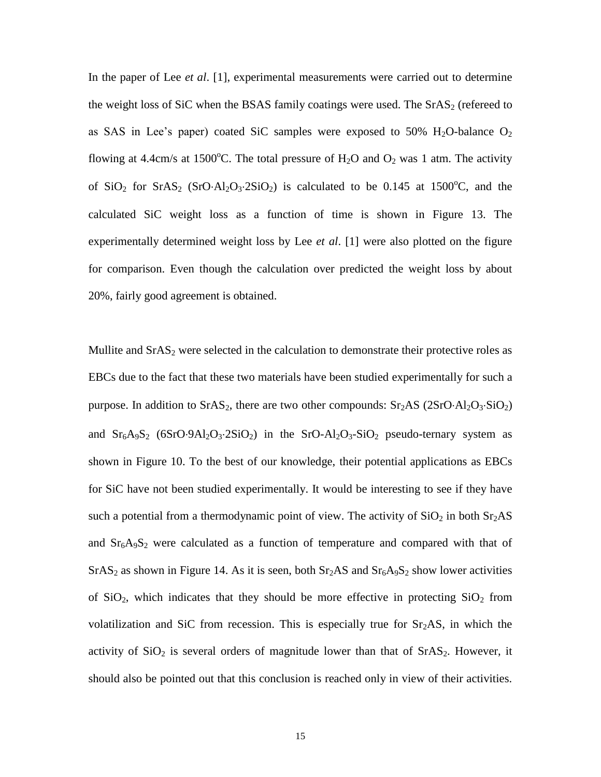In the paper of Lee *et al*. [1], experimental measurements were carried out to determine the weight loss of SiC when the BSAS family coatings were used. The  $SrAS<sub>2</sub>$  (refereed to as SAS in Lee's paper) coated SiC samples were exposed to 50%  $H_2O$ -balance  $O_2$ flowing at 4.4cm/s at 1500°C. The total pressure of  $H_2O$  and  $O_2$  was 1 atm. The activity of  $SiO_2$  for  $SrAS_2$   $(SrO·Al_2O_3·2SiO_2)$  is calculated to be 0.145 at 1500<sup>o</sup>C, and the calculated SiC weight loss as a function of time is shown in [Figure 13.](#page-38-0) The experimentally determined weight loss by Lee *et al*. [1] were also plotted on the figure for comparison. Even though the calculation over predicted the weight loss by about 20%, fairly good agreement is obtained.

Mullite and  $SrAS<sub>2</sub>$  were selected in the calculation to demonstrate their protective roles as EBCs due to the fact that these two materials have been studied experimentally for such a purpose. In addition to  $SrAS<sub>2</sub>$ , there are two other compounds:  $Sr<sub>2</sub>AS$  (2SrO·Al<sub>2</sub>O<sub>3</sub>·SiO<sub>2</sub>) and  $Sr_6A_9S_2$  ( $6SrO·9Al_2O_3·2SiO_2$ ) in the SrO-Al<sub>2</sub>O<sub>3</sub>-SiO<sub>2</sub> pseudo-ternary system as shown in [Figure 10.](#page-35-0) To the best of our knowledge, their potential applications as EBCs for SiC have not been studied experimentally. It would be interesting to see if they have such a potential from a thermodynamic point of view. The activity of  $SiO<sub>2</sub>$  in both  $Sr<sub>2</sub>AS$ and  $Sr<sub>6</sub>A<sub>9</sub>S<sub>2</sub>$  were calculated as a function of temperature and compared with that of  $SrAS<sub>2</sub>$  as shown in [Figure 14.](#page-39-0) As it is seen, both  $Sr<sub>2</sub>AS$  and  $Sr<sub>6</sub>A<sub>9</sub>S<sub>2</sub>$  show lower activities of  $SiO<sub>2</sub>$ , which indicates that they should be more effective in protecting  $SiO<sub>2</sub>$  from volatilization and SiC from recession. This is especially true for  $Sr<sub>2</sub>AS$ , in which the activity of  $SiO<sub>2</sub>$  is several orders of magnitude lower than that of  $SrAS<sub>2</sub>$ . However, it should also be pointed out that this conclusion is reached only in view of their activities.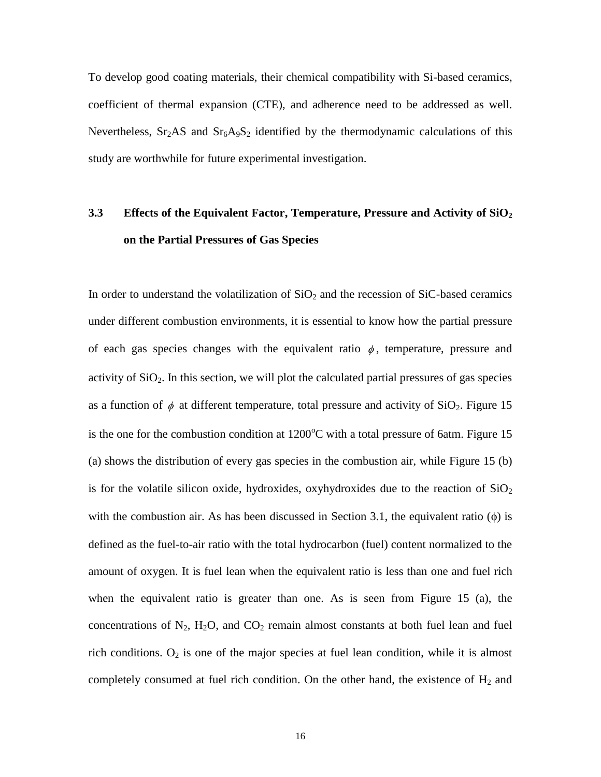To develop good coating materials, their chemical compatibility with Si-based ceramics, coefficient of thermal expansion (CTE), and adherence need to be addressed as well. Nevertheless,  $Sr<sub>2</sub>AS$  and  $Sr<sub>6</sub>A<sub>9</sub>S<sub>2</sub>$  identified by the thermodynamic calculations of this study are worthwhile for future experimental investigation.

### **3.3 Effects of the Equivalent Factor, Temperature, Pressure and Activity of SiO<sup>2</sup> on the Partial Pressures of Gas Species**

In order to understand the volatilization of  $SiO<sub>2</sub>$  and the recession of  $SiC$ -based ceramics under different combustion environments, it is essential to know how the partial pressure of each gas species changes with the equivalent ratio  $\phi$ , temperature, pressure and activity of  $SiO<sub>2</sub>$ . In this section, we will plot the calculated partial pressures of gas species as a function of  $\phi$  at different temperature, total pressure and activity of SiO<sub>2</sub>. [Figure 15](#page-40-0) is the one for the combustion condition at  $1200^{\circ}$ C with a total pressure of 6atm. [Figure 15](#page-40-0) (a) shows the distribution of every gas species in the combustion air, while [Figure 15](#page-40-0) (b) is for the volatile silicon oxide, hydroxides, oxyhydroxides due to the reaction of  $SiO<sub>2</sub>$ with the combustion air. As has been discussed in Section 3.1, the equivalent ratio  $(\phi)$  is defined as the fuel-to-air ratio with the total hydrocarbon (fuel) content normalized to the amount of oxygen. It is fuel lean when the equivalent ratio is less than one and fuel rich when the equivalent ratio is greater than one. As is seen from [Figure 15](#page-40-0) (a), the concentrations of  $N_2$ ,  $H_2O$ , and  $CO_2$  remain almost constants at both fuel lean and fuel rich conditions.  $O_2$  is one of the major species at fuel lean condition, while it is almost completely consumed at fuel rich condition. On the other hand, the existence of  $H_2$  and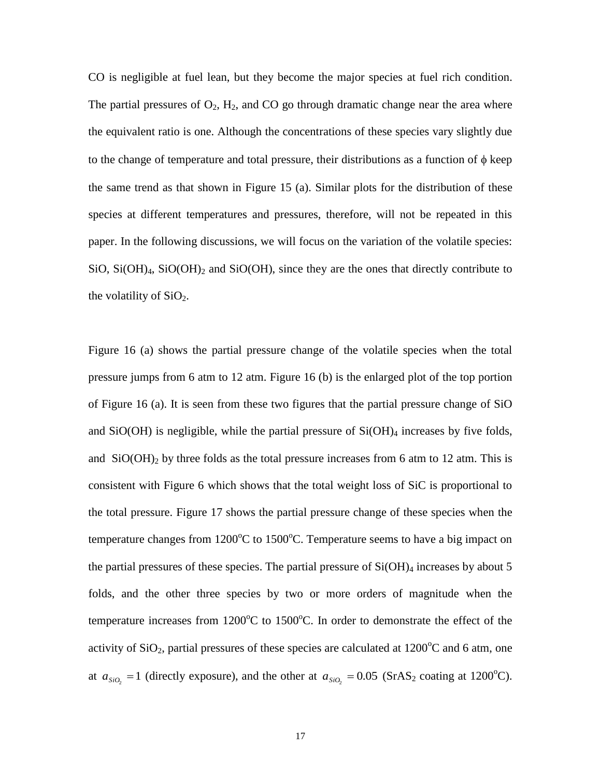CO is negligible at fuel lean, but they become the major species at fuel rich condition. The partial pressures of  $O_2$ ,  $H_2$ , and CO go through dramatic change near the area where the equivalent ratio is one. Although the concentrations of these species vary slightly due to the change of temperature and total pressure, their distributions as a function of  $\phi$  keep the same trend as that shown in [Figure 15](#page-40-0) (a). Similar plots for the distribution of these species at different temperatures and pressures, therefore, will not be repeated in this paper. In the following discussions, we will focus on the variation of the volatile species: SiO,  $Si(OH)<sub>4</sub>$ ,  $SiO(OH)<sub>2</sub>$  and  $SiO(OH)$ , since they are the ones that directly contribute to the volatility of  $SiO<sub>2</sub>$ .

[Figure 16](#page-41-0) (a) shows the partial pressure change of the volatile species when the total pressure jumps from 6 atm to 12 atm. [Figure 16](#page-41-0) (b) is the enlarged plot of the top portion of [Figure 16](#page-41-0) (a). It is seen from these two figures that the partial pressure change of SiO and  $SiO(OH)$  is negligible, while the partial pressure of  $Si(OH)<sub>4</sub>$  increases by five folds, and  $SiO(OH)_2$  by three folds as the total pressure increases from 6 atm to 12 atm. This is consistent with [Figure 6](#page-31-0) which shows that the total weight loss of SiC is proportional to the total pressure. [Figure 17](#page-42-0) shows the partial pressure change of these species when the temperature changes from  $1200^{\circ}$ C to  $1500^{\circ}$ C. Temperature seems to have a big impact on the partial pressures of these species. The partial pressure of  $Si(OH)_4$  increases by about 5 folds, and the other three species by two or more orders of magnitude when the temperature increases from  $1200^{\circ}$ C to  $1500^{\circ}$ C. In order to demonstrate the effect of the activity of  $SiO<sub>2</sub>$ , partial pressures of these species are calculated at 1200<sup>o</sup>C and 6 atm, one at  $a_{SiO_2} = 1$  (directly exposure), and the other at  $a_{SiO_2} = 0.05$  (SrAS<sub>2</sub> coating at 1200<sup>o</sup>C).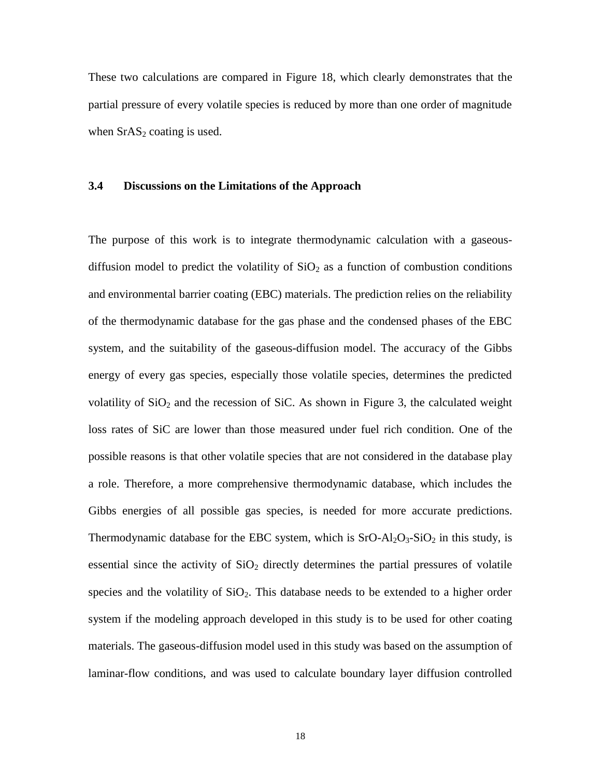These two calculations are compared in [Figure 18,](#page-43-0) which clearly demonstrates that the partial pressure of every volatile species is reduced by more than one order of magnitude when  $SrAS<sub>2</sub>$  coating is used.

### **3.4 Discussions on the Limitations of the Approach**

The purpose of this work is to integrate thermodynamic calculation with a gaseousdiffusion model to predict the volatility of  $SiO<sub>2</sub>$  as a function of combustion conditions and environmental barrier coating (EBC) materials. The prediction relies on the reliability of the thermodynamic database for the gas phase and the condensed phases of the EBC system, and the suitability of the gaseous-diffusion model. The accuracy of the Gibbs energy of every gas species, especially those volatile species, determines the predicted volatility of  $SiO<sub>2</sub>$  and the recession of SiC. As shown in [Figure 3,](#page-28-0) the calculated weight loss rates of SiC are lower than those measured under fuel rich condition. One of the possible reasons is that other volatile species that are not considered in the database play a role. Therefore, a more comprehensive thermodynamic database, which includes the Gibbs energies of all possible gas species, is needed for more accurate predictions. Thermodynamic database for the EBC system, which is  $SrO-Al<sub>2</sub>O<sub>3</sub>-SiO<sub>2</sub>$  in this study, is essential since the activity of  $SiO<sub>2</sub>$  directly determines the partial pressures of volatile species and the volatility of  $SiO<sub>2</sub>$ . This database needs to be extended to a higher order system if the modeling approach developed in this study is to be used for other coating materials. The gaseous-diffusion model used in this study was based on the assumption of laminar-flow conditions, and was used to calculate boundary layer diffusion controlled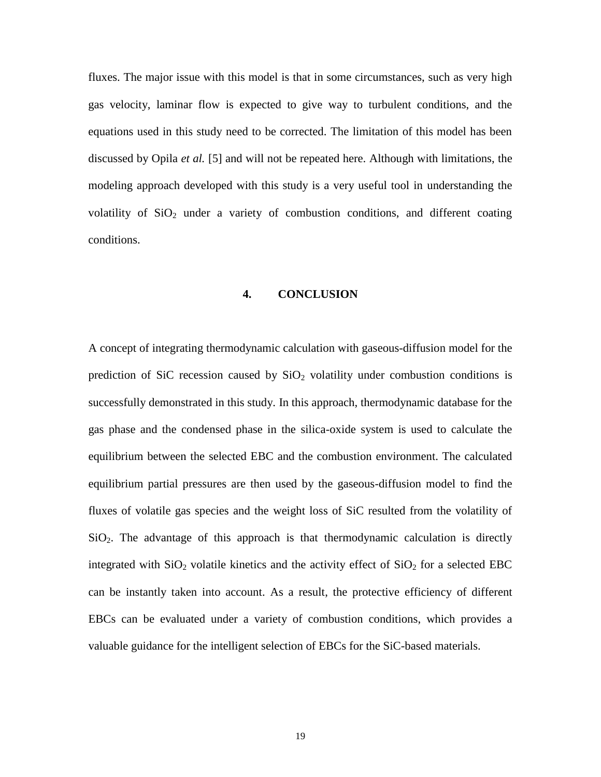fluxes. The major issue with this model is that in some circumstances, such as very high gas velocity, laminar flow is expected to give way to turbulent conditions, and the equations used in this study need to be corrected. The limitation of this model has been discussed by Opila *et al.* [5] and will not be repeated here. Although with limitations, the modeling approach developed with this study is a very useful tool in understanding the volatility of  $SiO<sub>2</sub>$  under a variety of combustion conditions, and different coating conditions.

### **4. CONCLUSION**

A concept of integrating thermodynamic calculation with gaseous-diffusion model for the prediction of SiC recession caused by  $SiO<sub>2</sub>$  volatility under combustion conditions is successfully demonstrated in this study. In this approach, thermodynamic database for the gas phase and the condensed phase in the silica-oxide system is used to calculate the equilibrium between the selected EBC and the combustion environment. The calculated equilibrium partial pressures are then used by the gaseous-diffusion model to find the fluxes of volatile gas species and the weight loss of SiC resulted from the volatility of  $SiO<sub>2</sub>$ . The advantage of this approach is that thermodynamic calculation is directly integrated with  $SiO<sub>2</sub>$  volatile kinetics and the activity effect of  $SiO<sub>2</sub>$  for a selected EBC can be instantly taken into account. As a result, the protective efficiency of different EBCs can be evaluated under a variety of combustion conditions, which provides a valuable guidance for the intelligent selection of EBCs for the SiC-based materials.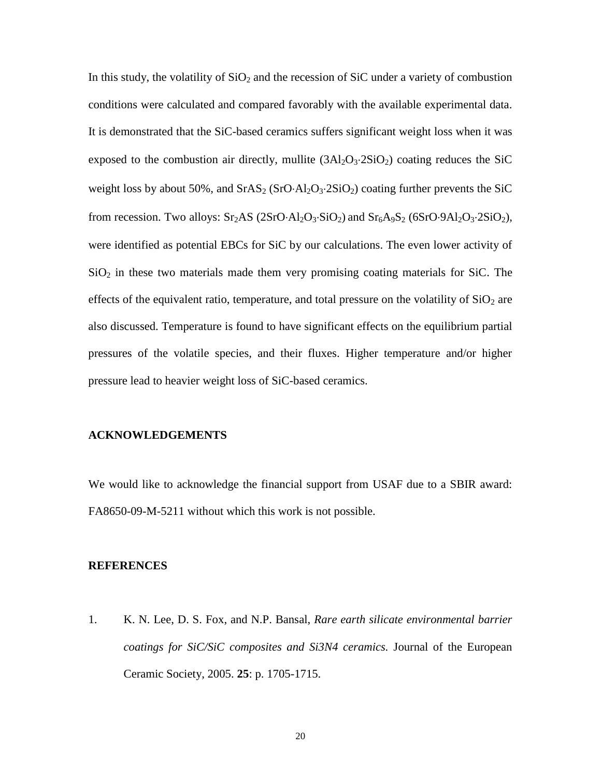In this study, the volatility of  $SiO<sub>2</sub>$  and the recession of  $SiC$  under a variety of combustion conditions were calculated and compared favorably with the available experimental data. It is demonstrated that the SiC-based ceramics suffers significant weight loss when it was exposed to the combustion air directly, mullite  $(3Al<sub>2</sub>O<sub>3</sub>·2SiO<sub>2</sub>)$  coating reduces the SiC weight loss by about 50%, and  $SrAS<sub>2</sub> (SrO·Al<sub>2</sub>O<sub>3</sub>·2SiO<sub>2</sub>)$  coating further prevents the SiC from recession. Two alloys:  $Sr<sub>2</sub>AS$  (2SrO·Al<sub>2</sub>O<sub>3</sub>·SiO<sub>2</sub>) and  $Sr<sub>6</sub>A<sub>9</sub>S<sub>2</sub>$  (6SrO·9Al<sub>2</sub>O<sub>3</sub>·2SiO<sub>2</sub>), were identified as potential EBCs for SiC by our calculations. The even lower activity of  $SiO<sub>2</sub>$  in these two materials made them very promising coating materials for SiC. The effects of the equivalent ratio, temperature, and total pressure on the volatility of  $SiO<sub>2</sub>$  are also discussed. Temperature is found to have significant effects on the equilibrium partial pressures of the volatile species, and their fluxes. Higher temperature and/or higher pressure lead to heavier weight loss of SiC-based ceramics.

### **ACKNOWLEDGEMENTS**

We would like to acknowledge the financial support from USAF due to a SBIR award: FA8650-09-M-5211 without which this work is not possible.

### **REFERENCES**

1. K. N. Lee, D. S. Fox, and N.P. Bansal, *Rare earth silicate environmental barrier coatings for SiC/SiC composites and Si3N4 ceramics.* Journal of the European Ceramic Society, 2005. **25**: p. 1705-1715.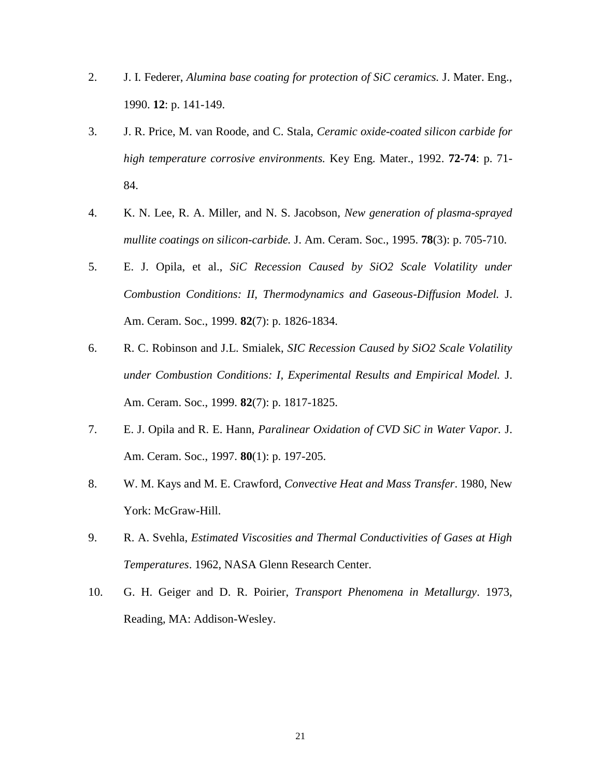- 2. J. I. Federer, *Alumina base coating for protection of SiC ceramics.* J. Mater. Eng., 1990. **12**: p. 141-149.
- 3. J. R. Price, M. van Roode, and C. Stala, *Ceramic oxide-coated silicon carbide for high temperature corrosive environments.* Key Eng. Mater., 1992. **72-74**: p. 71- 84.
- 4. K. N. Lee, R. A. Miller, and N. S. Jacobson, *New generation of plasma-sprayed mullite coatings on silicon-carbide.* J. Am. Ceram. Soc., 1995. **78**(3): p. 705-710.
- 5. E. J. Opila, et al., *SiC Recession Caused by SiO2 Scale Volatility under Combustion Conditions: II, Thermodynamics and Gaseous-Diffusion Model.* J. Am. Ceram. Soc., 1999. **82**(7): p. 1826-1834.
- 6. R. C. Robinson and J.L. Smialek, *SIC Recession Caused by SiO2 Scale Volatility under Combustion Conditions: I, Experimental Results and Empirical Model.* J. Am. Ceram. Soc., 1999. **82**(7): p. 1817-1825.
- 7. E. J. Opila and R. E. Hann, *Paralinear Oxidation of CVD SiC in Water Vapor.* J. Am. Ceram. Soc., 1997. **80**(1): p. 197-205.
- 8. W. M. Kays and M. E. Crawford, *Convective Heat and Mass Transfer*. 1980, New York: McGraw-Hill.
- 9. R. A. Svehla, *Estimated Viscosities and Thermal Conductivities of Gases at High Temperatures*. 1962, NASA Glenn Research Center.
- 10. G. H. Geiger and D. R. Poirier, *Transport Phenomena in Metallurgy*. 1973, Reading, MA: Addison-Wesley.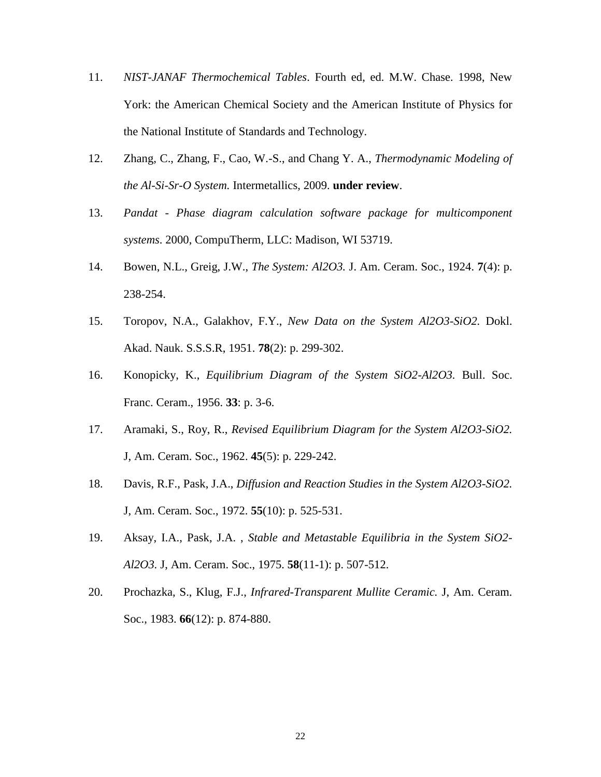- 11. *NIST-JANAF Thermochemical Tables*. Fourth ed, ed. M.W. Chase. 1998, New York: the American Chemical Society and the American Institute of Physics for the National Institute of Standards and Technology.
- 12. Zhang, C., Zhang, F., Cao, W.-S., and Chang Y. A., *Thermodynamic Modeling of the Al-Si-Sr-O System.* Intermetallics, 2009. **under review**.
- 13. *Pandat Phase diagram calculation software package for multicomponent systems*. 2000, CompuTherm, LLC: Madison, WI 53719.
- 14. Bowen, N.L., Greig, J.W., *The System: Al2O3.* J. Am. Ceram. Soc., 1924. **7**(4): p. 238-254.
- 15. Toropov, N.A., Galakhov, F.Y., *New Data on the System Al2O3-SiO2.* Dokl. Akad. Nauk. S.S.S.R, 1951. **78**(2): p. 299-302.
- 16. Konopicky, K., *Equilibrium Diagram of the System SiO2-Al2O3.* Bull. Soc. Franc. Ceram., 1956. **33**: p. 3-6.
- 17. Aramaki, S., Roy, R., *Revised Equilibrium Diagram for the System Al2O3-SiO2.* J, Am. Ceram. Soc., 1962. **45**(5): p. 229-242.
- 18. Davis, R.F., Pask, J.A., *Diffusion and Reaction Studies in the System Al2O3-SiO2.* J, Am. Ceram. Soc., 1972. **55**(10): p. 525-531.
- 19. Aksay, I.A., Pask, J.A. , *Stable and Metastable Equilibria in the System SiO2- Al2O3.* J, Am. Ceram. Soc., 1975. **58**(11-1): p. 507-512.
- 20. Prochazka, S., Klug, F.J., *Infrared-Transparent Mullite Ceramic.* J, Am. Ceram. Soc., 1983. **66**(12): p. 874-880.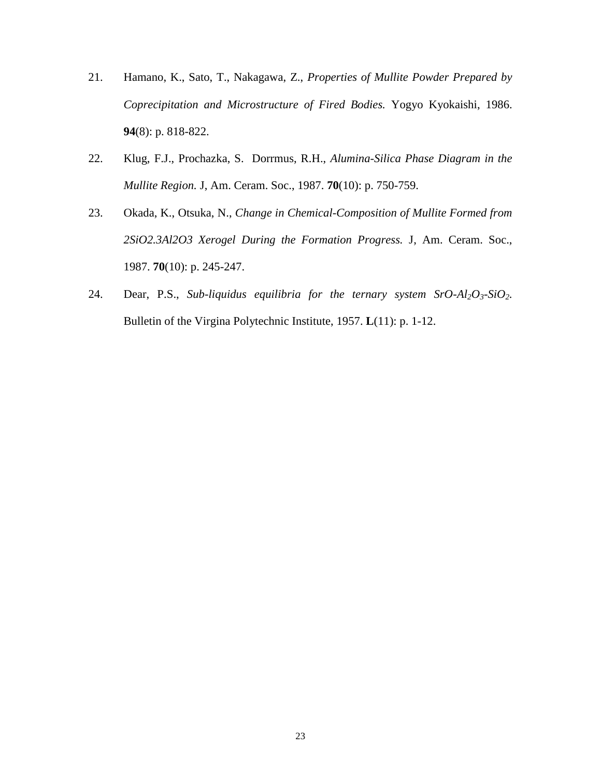- 21. Hamano, K., Sato, T., Nakagawa, Z., *Properties of Mullite Powder Prepared by Coprecipitation and Microstructure of Fired Bodies.* Yogyo Kyokaishi, 1986. **94**(8): p. 818-822.
- 22. Klug, F.J., Prochazka, S. Dorrmus, R.H., *Alumina-Silica Phase Diagram in the Mullite Region.* J, Am. Ceram. Soc., 1987. **70**(10): p. 750-759.
- 23. Okada, K., Otsuka, N., *Change in Chemical-Composition of Mullite Formed from 2SiO2.3Al2O3 Xerogel During the Formation Progress.* J, Am. Ceram. Soc., 1987. **70**(10): p. 245-247.
- 24. Dear, P.S., *Sub-liquidus equilibria for the ternary system SrO-Al2O3-SiO2.* Bulletin of the Virgina Polytechnic Institute, 1957. **L**(11): p. 1-12.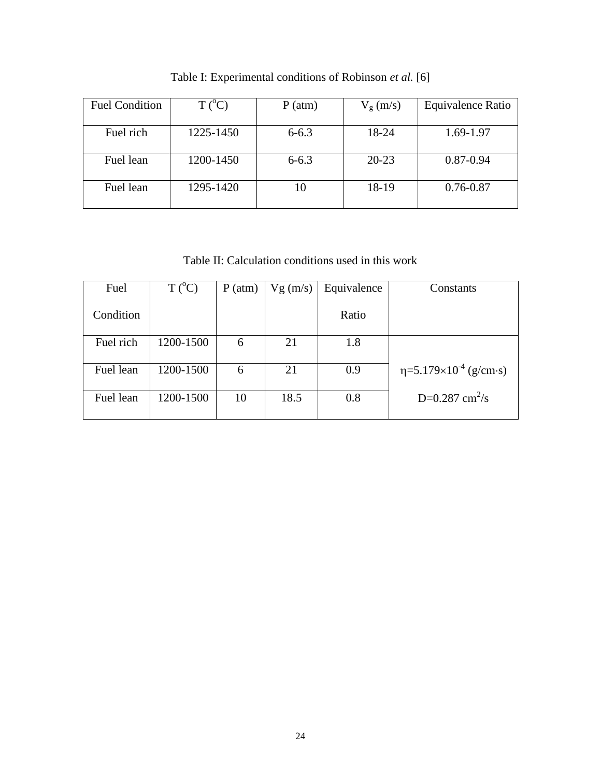| <b>Fuel Condition</b> | $T(^{\circ}C)$ | P(atm)    | $V_{\rm g}$ (m/s) | Equivalence Ratio |
|-----------------------|----------------|-----------|-------------------|-------------------|
| Fuel rich             | 1225-1450      | $6 - 6.3$ | 18-24             | 1.69-1.97         |
| Fuel lean             | 1200-1450      | $6 - 6.3$ | $20 - 23$         | $0.87 - 0.94$     |
| Fuel lean             | 1295-1420      |           | 18-19             | $0.76 - 0.87$     |

Table I: Experimental conditions of Robinson *et al.* [6]

Table II: Calculation conditions used in this work

| Fuel      | $T(^{0}C)$ | P(atm) | Vg(m/s) | Equivalence | Constants                              |
|-----------|------------|--------|---------|-------------|----------------------------------------|
| Condition |            |        |         | Ratio       |                                        |
| Fuel rich | 1200-1500  | 6      | 21      | 1.8         |                                        |
| Fuel lean | 1200-1500  | 6      | 21      | 0.9         | $\eta = 5.179 \times 10^{-4}$ (g/cm·s) |
|           |            |        |         |             |                                        |
| Fuel lean | 1200-1500  | 10     | 18.5    | 0.8         | D=0.287 cm <sup>2</sup> /s             |
|           |            |        |         |             |                                        |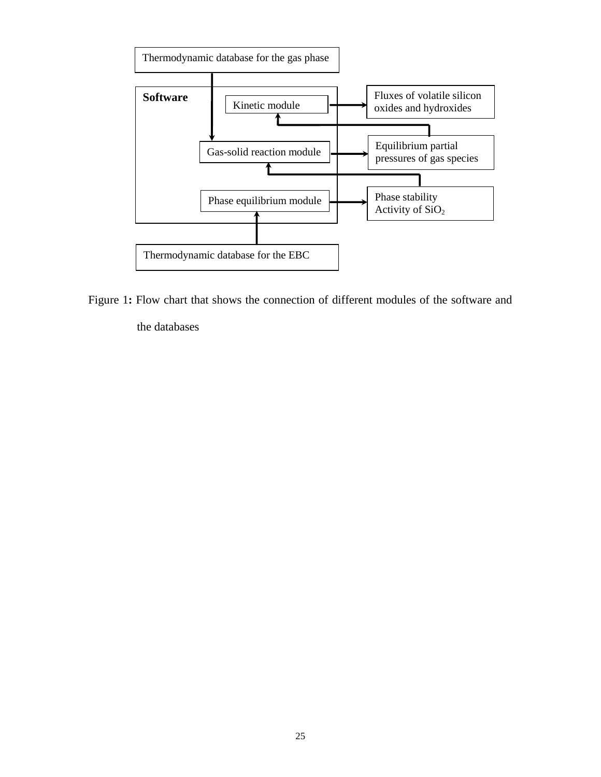

<span id="page-26-0"></span>Figure 1**:** Flow chart that shows the connection of different modules of the software and

the databases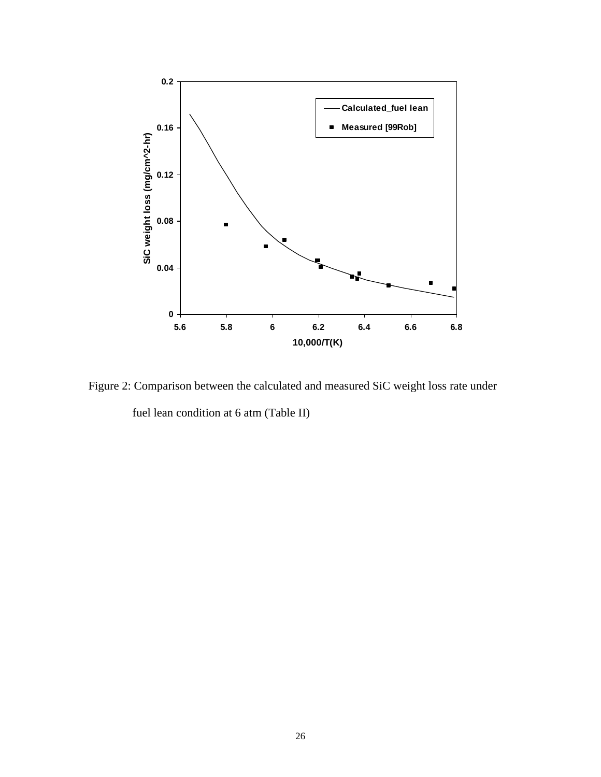

<span id="page-27-0"></span>Figure 2: Comparison between the calculated and measured SiC weight loss rate under fuel lean condition at 6 atm (Table II)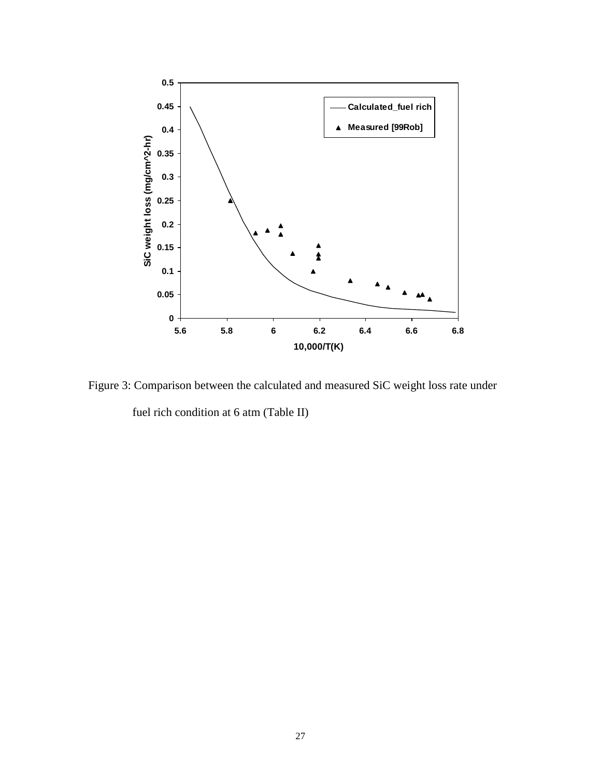

<span id="page-28-0"></span>Figure 3: Comparison between the calculated and measured SiC weight loss rate under

fuel rich condition at 6 atm (Table II)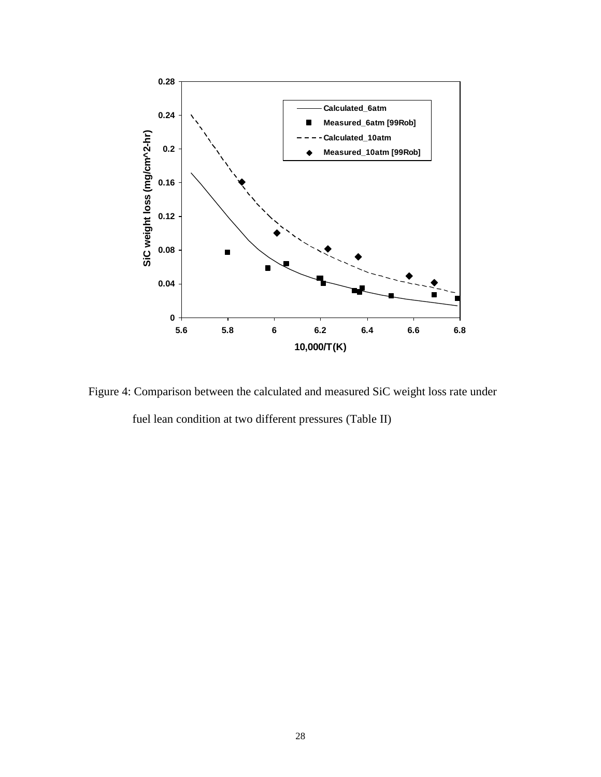

<span id="page-29-0"></span>Figure 4: Comparison between the calculated and measured SiC weight loss rate under fuel lean condition at two different pressures (Table II)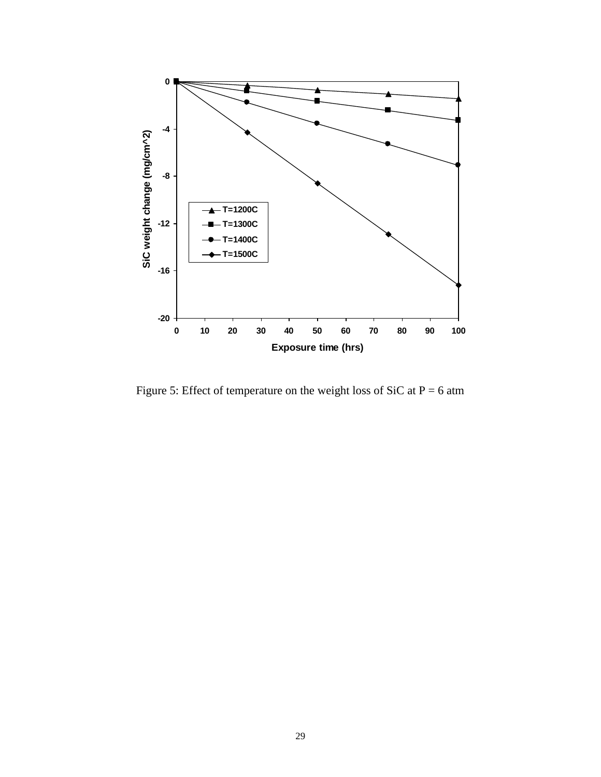

<span id="page-30-0"></span>Figure 5: Effect of temperature on the weight loss of SiC at  $P = 6$  atm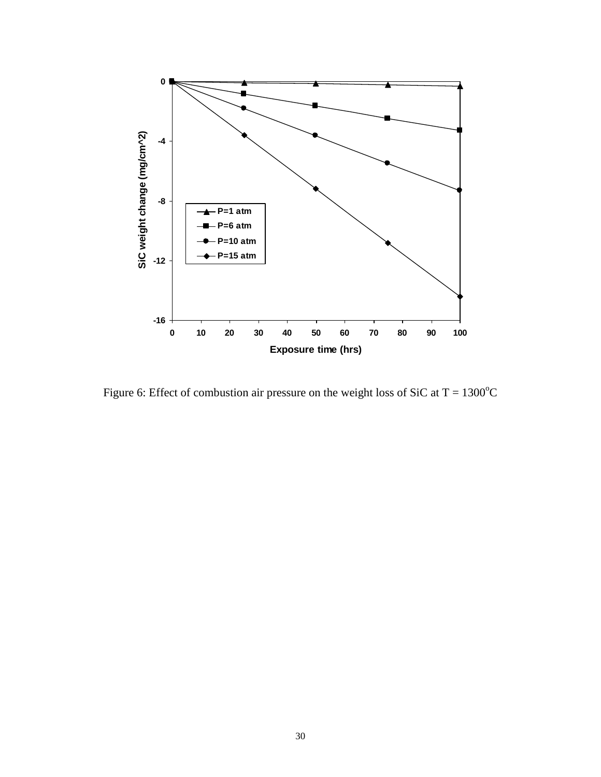

<span id="page-31-0"></span>Figure 6: Effect of combustion air pressure on the weight loss of SiC at  $T = 1300^{\circ}C$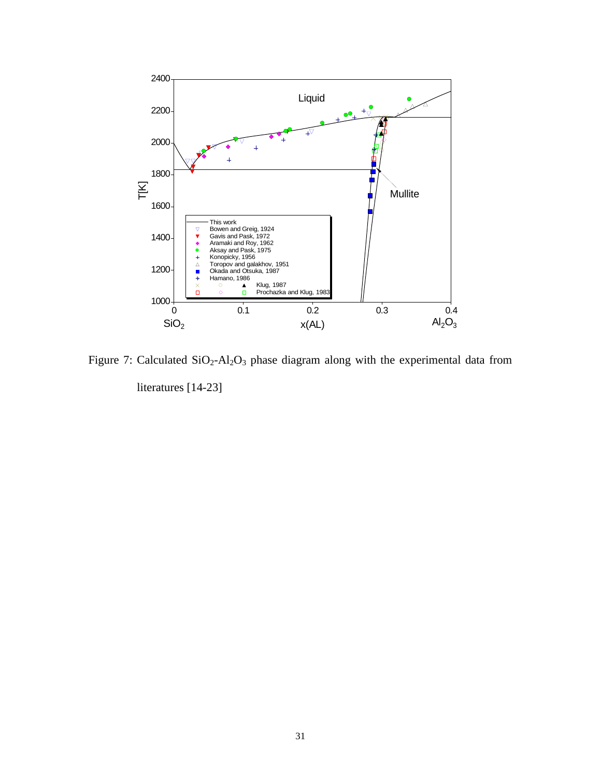![](_page_32_Figure_0.jpeg)

<span id="page-32-0"></span>Figure 7: Calculated  $SiO_2$ -Al<sub>2</sub>O<sub>3</sub> phase diagram along with the experimental data from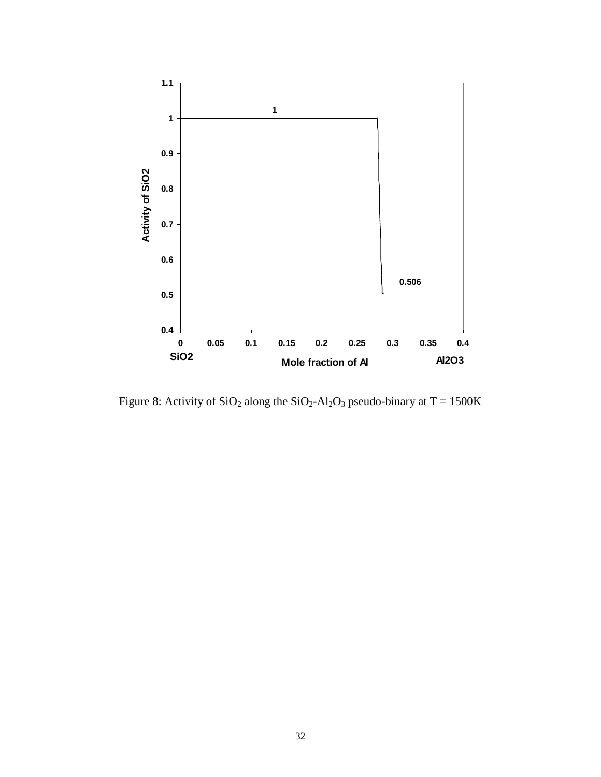![](_page_33_Figure_0.jpeg)

<span id="page-33-0"></span>Figure 8: Activity of  $SiO_2$  along the  $SiO_2$ -Al<sub>2</sub>O<sub>3</sub> pseudo-binary at T = 1500K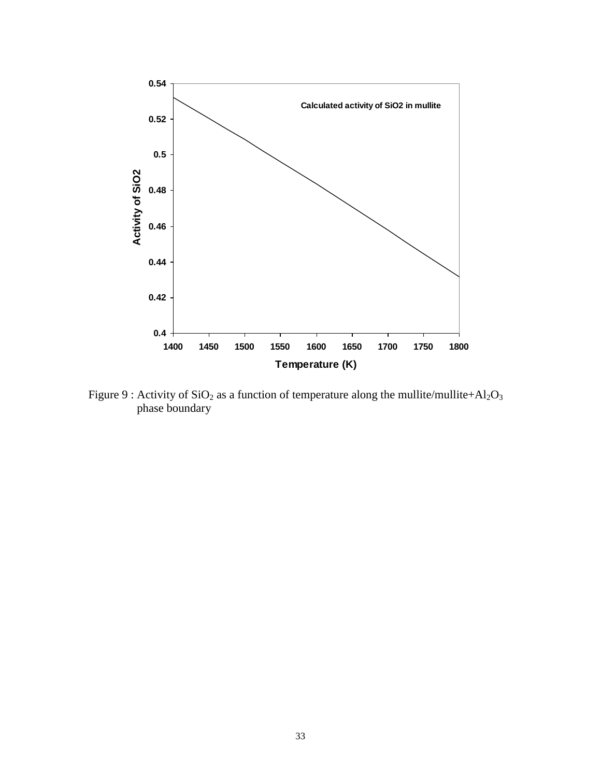![](_page_34_Figure_0.jpeg)

<span id="page-34-0"></span>Figure 9 : Activity of  $SiO_2$  as a function of temperature along the mullite/mullite+Al<sub>2</sub>O<sub>3</sub> phase boundary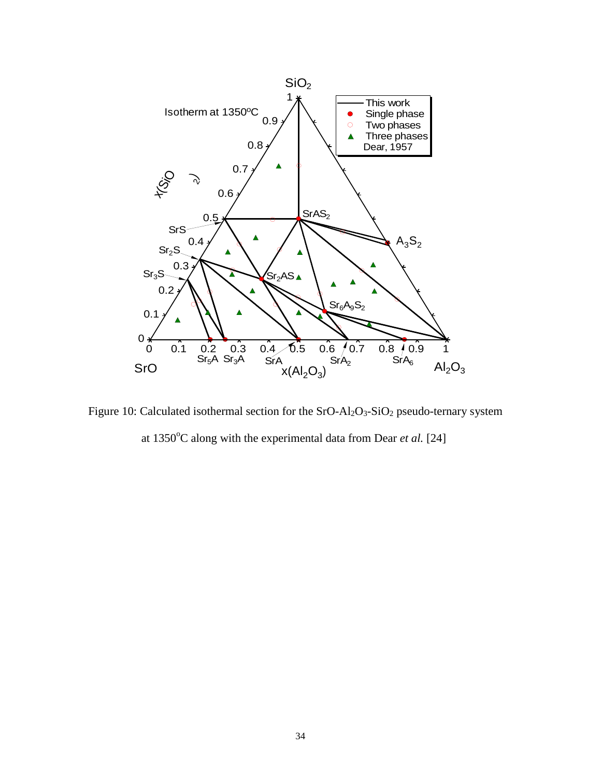![](_page_35_Figure_0.jpeg)

<span id="page-35-0"></span>Figure 10: Calculated isothermal section for the  $SrO-Al<sub>2</sub>O<sub>3</sub>-SiO<sub>2</sub>$  pseudo-ternary system

at 1350°C along with the experimental data from Dear *et al.* [24]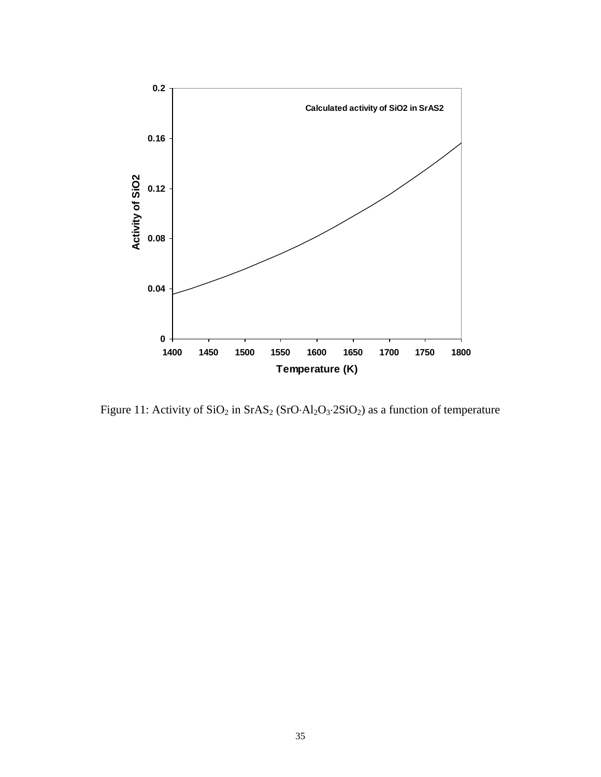![](_page_36_Figure_0.jpeg)

<span id="page-36-0"></span>Figure 11: Activity of  $SiO_2$  in  $SrAS_2$  (SrO·Al<sub>2</sub>O<sub>3</sub>·2SiO<sub>2</sub>) as a function of temperature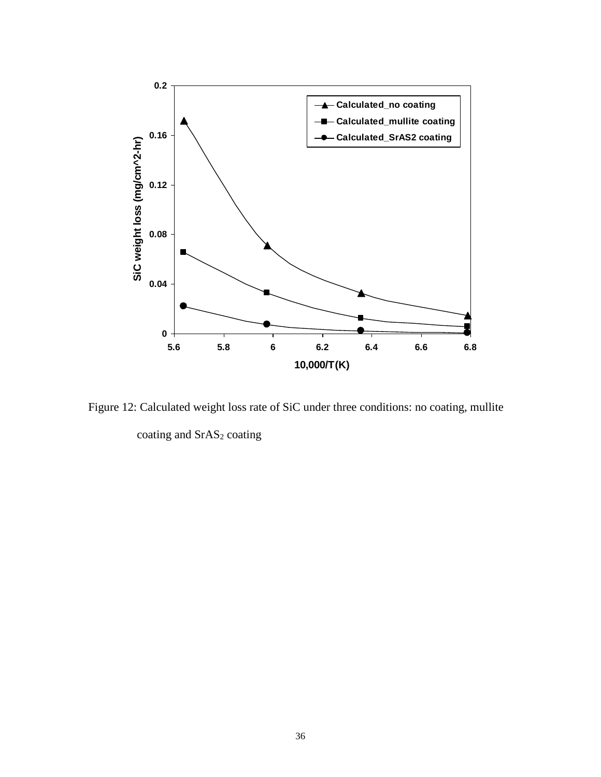![](_page_37_Figure_0.jpeg)

<span id="page-37-0"></span>Figure 12: Calculated weight loss rate of SiC under three conditions: no coating, mullite coating and SrAS<sub>2</sub> coating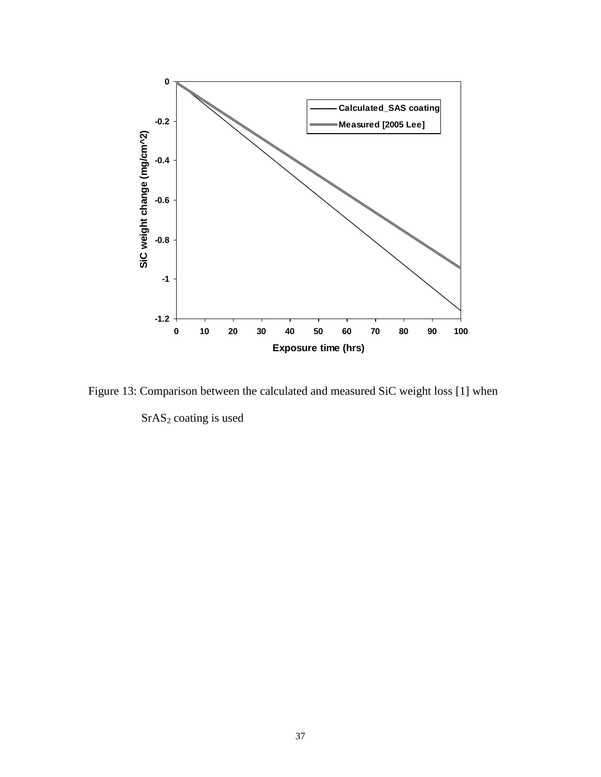![](_page_38_Figure_0.jpeg)

<span id="page-38-0"></span>Figure 13: Comparison between the calculated and measured SiC weight loss [1] when

 $SrAS<sub>2</sub> coating is used$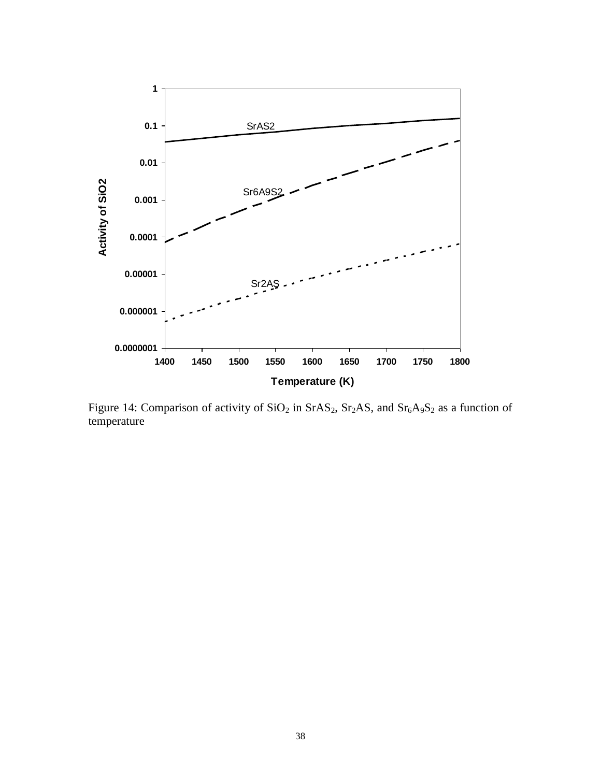![](_page_39_Figure_0.jpeg)

<span id="page-39-0"></span>Figure 14: Comparison of activity of  $SiO_2$  in  $SrAS_2$ ,  $Sr_2AS$ , and  $Sr_6A_9S_2$  as a function of temperature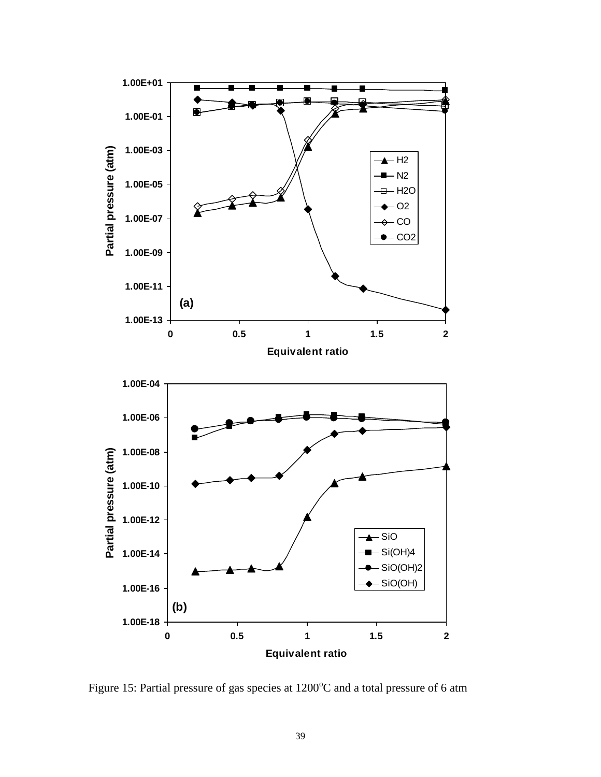![](_page_40_Figure_0.jpeg)

<span id="page-40-0"></span>Figure 15: Partial pressure of gas species at  $1200^{\circ}$ C and a total pressure of 6 atm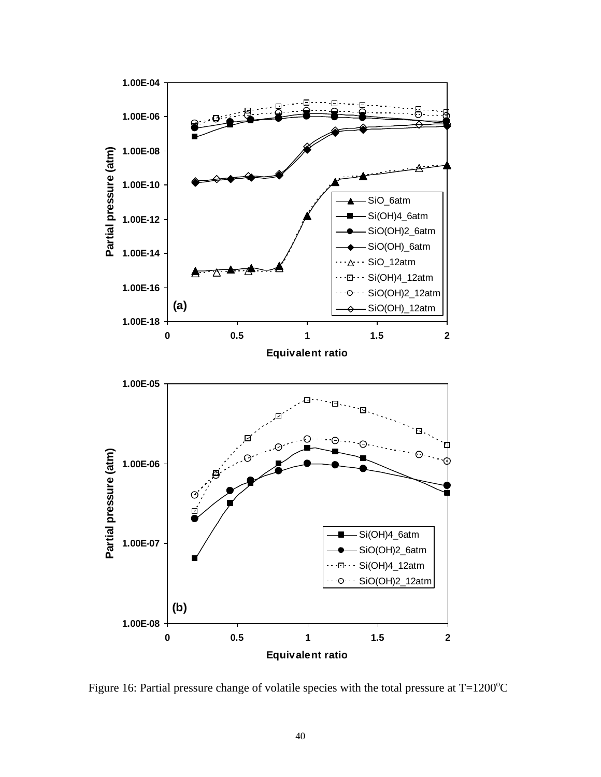![](_page_41_Figure_0.jpeg)

<span id="page-41-0"></span>Figure 16: Partial pressure change of volatile species with the total pressure at  $T=1200^{\circ}C$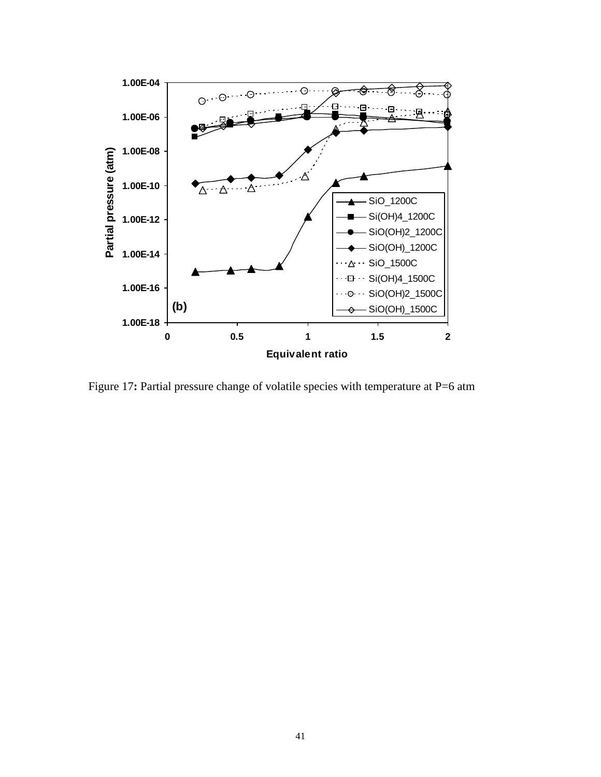![](_page_42_Figure_0.jpeg)

<span id="page-42-0"></span>Figure 17: Partial pressure change of volatile species with temperature at P=6 atm